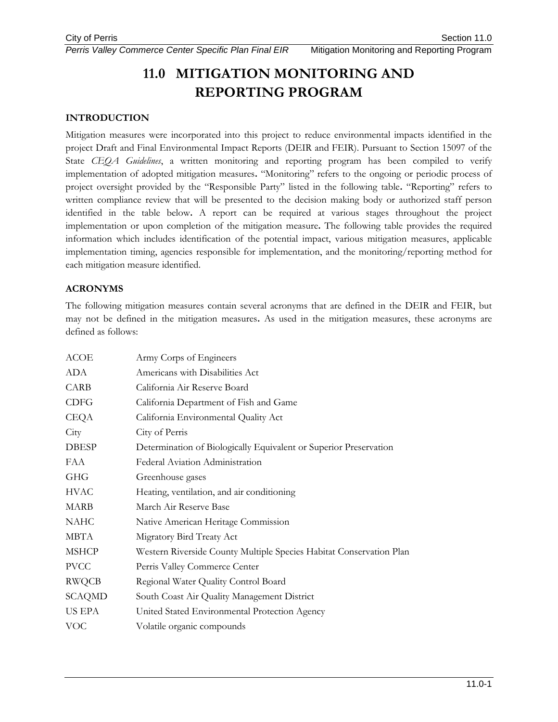*Perris Valley Commerce Center Specific Plan Final EIR* Mitigation Monitoring and Reporting Program

# **11.0 MITIGATION MONITORING AND REPORTING PROGRAM**

## **INTRODUCTION**

Mitigation measures were incorporated into this project to reduce environmental impacts identified in the project Draft and Final Environmental Impact Reports (DEIR and FEIR). Pursuant to Section 15097 of the State *CEQA Guidelines*, a written monitoring and reporting program has been compiled to verify implementation of adopted mitigation measures**.** "Monitoring" refers to the ongoing or periodic process of project oversight provided by the "Responsible Party" listed in the following table**.** "Reporting" refers to written compliance review that will be presented to the decision making body or authorized staff person identified in the table below**.** A report can be required at various stages throughout the project implementation or upon completion of the mitigation measure**.** The following table provides the required information which includes identification of the potential impact, various mitigation measures, applicable implementation timing, agencies responsible for implementation, and the monitoring/reporting method for each mitigation measure identified.

### **ACRONYMS**

The following mitigation measures contain several acronyms that are defined in the DEIR and FEIR, but may not be defined in the mitigation measures**.** As used in the mitigation measures, these acronyms are defined as follows:

| Army Corps of Engineers                                             |
|---------------------------------------------------------------------|
| Americans with Disabilities Act                                     |
| California Air Reserve Board                                        |
| California Department of Fish and Game                              |
| California Environmental Quality Act                                |
| City of Perris                                                      |
| Determination of Biologically Equivalent or Superior Preservation   |
| Federal Aviation Administration                                     |
| Greenhouse gases                                                    |
| Heating, ventilation, and air conditioning                          |
| March Air Reserve Base                                              |
| Native American Heritage Commission                                 |
| Migratory Bird Treaty Act                                           |
| Western Riverside County Multiple Species Habitat Conservation Plan |
| Perris Valley Commerce Center                                       |
| Regional Water Quality Control Board                                |
| South Coast Air Quality Management District                         |
| United Stated Environmental Protection Agency                       |
| Volatile organic compounds                                          |
|                                                                     |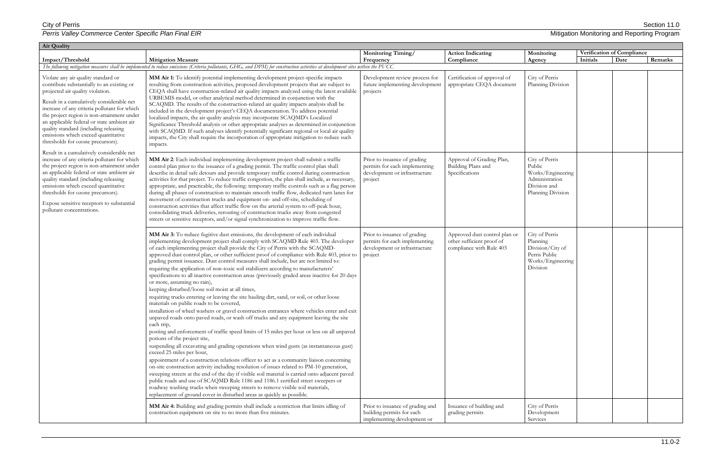| Air Quality                                                                                                                                                                                                                                                                                                                                                                                                                         |                                                                                                                                                                                                                                                                                                                                                                                                                                                                                                                                                                                                                                                                                                                                                                                                                                                                                                                                                                                                                                                                                                                                                                                                                                                                                                                                                                                                                                                                                                                                                                                                                                                                                                                                                                                                                                                                                |                                                                                                           |                                                                                        |                                                                                                      |          |                            |         |
|-------------------------------------------------------------------------------------------------------------------------------------------------------------------------------------------------------------------------------------------------------------------------------------------------------------------------------------------------------------------------------------------------------------------------------------|--------------------------------------------------------------------------------------------------------------------------------------------------------------------------------------------------------------------------------------------------------------------------------------------------------------------------------------------------------------------------------------------------------------------------------------------------------------------------------------------------------------------------------------------------------------------------------------------------------------------------------------------------------------------------------------------------------------------------------------------------------------------------------------------------------------------------------------------------------------------------------------------------------------------------------------------------------------------------------------------------------------------------------------------------------------------------------------------------------------------------------------------------------------------------------------------------------------------------------------------------------------------------------------------------------------------------------------------------------------------------------------------------------------------------------------------------------------------------------------------------------------------------------------------------------------------------------------------------------------------------------------------------------------------------------------------------------------------------------------------------------------------------------------------------------------------------------------------------------------------------------|-----------------------------------------------------------------------------------------------------------|----------------------------------------------------------------------------------------|------------------------------------------------------------------------------------------------------|----------|----------------------------|---------|
|                                                                                                                                                                                                                                                                                                                                                                                                                                     |                                                                                                                                                                                                                                                                                                                                                                                                                                                                                                                                                                                                                                                                                                                                                                                                                                                                                                                                                                                                                                                                                                                                                                                                                                                                                                                                                                                                                                                                                                                                                                                                                                                                                                                                                                                                                                                                                | <b>Monitoring Timing/</b>                                                                                 | <b>Action Indicating</b>                                                               | Monitoring                                                                                           |          | Verification of Compliance |         |
| Impact/Threshold                                                                                                                                                                                                                                                                                                                                                                                                                    | <b>Mitigation Measure</b>                                                                                                                                                                                                                                                                                                                                                                                                                                                                                                                                                                                                                                                                                                                                                                                                                                                                                                                                                                                                                                                                                                                                                                                                                                                                                                                                                                                                                                                                                                                                                                                                                                                                                                                                                                                                                                                      | Frequency                                                                                                 | Compliance                                                                             | Agency                                                                                               | Initials | Date                       | Remarks |
|                                                                                                                                                                                                                                                                                                                                                                                                                                     | The following mitigation measures shall be implemented to reduce emissions (Criteria pollutants, GHG, and DPM) for construction activities at development sites within the PVCC                                                                                                                                                                                                                                                                                                                                                                                                                                                                                                                                                                                                                                                                                                                                                                                                                                                                                                                                                                                                                                                                                                                                                                                                                                                                                                                                                                                                                                                                                                                                                                                                                                                                                                |                                                                                                           |                                                                                        |                                                                                                      |          |                            |         |
| Violate any air quality standard or<br>contribute substantially to an existing or<br>projected air quality violation.<br>Result in a cumulatively considerable net<br>increase of any criteria pollutant for which<br>the project region is non-attainment under<br>an applicable federal or state ambient air<br>quality standard (including releasing<br>emissions which exceed quantitative<br>thresholds for ozone precursors). | MM Air 1: To identify potential implementing development project-specific impacts<br>resulting from construction activities, proposed development projects that are subject to<br>CEQA shall have construction-related air quality impacts analyzed using the latest available<br>URBEMIS model, or other analytical method determined in conjunction with the<br>SCAQMD. The results of the construction-related air quality impacts analysis shall be<br>included in the development project's CEQA documentation. To address potential<br>localized impacts, the air quality analysis may incorporate SCAQMD's Localized<br>Significance Threshold analysis or other appropriate analyses as determined in conjunction<br>with SCAQMD. If such analyses identify potentially significant regional or local air quality<br>impacts, the City shall require the incorporation of appropriate mitigation to reduce such<br>impacts.                                                                                                                                                                                                                                                                                                                                                                                                                                                                                                                                                                                                                                                                                                                                                                                                                                                                                                                                            | Development review process for<br>future implementing development<br>projects                             | Certification of approval of<br>appropriate CEQA document                              | City of Perris<br>Planning Division                                                                  |          |                            |         |
| Result in a cumulatively considerable net<br>increase of any criteria pollutant for which<br>the project region is non-attainment under<br>an applicable federal or state ambient air<br>quality standard (including releasing<br>emissions which exceed quantitative<br>thresholds for ozone precursors).<br>Expose sensitive receptors to substantial<br>pollutant concentrations.                                                | MM Air 2: Each individual implementing development project shall submit a traffic<br>control plan prior to the issuance of a grading permit. The traffic control plan shall<br>describe in detail safe detours and provide temporary traffic control during construction<br>activities for that project. To reduce traffic congestion, the plan shall include, as necessary,<br>appropriate, and practicable, the following: temporary traffic controls such as a flag person<br>during all phases of construction to maintain smooth traffic flow, dedicated turn lanes for<br>movement of construction trucks and equipment on- and off-site, scheduling of<br>construction activities that affect traffic flow on the arterial system to off-peak hour,<br>consolidating truck deliveries, rerouting of construction trucks away from congested<br>streets or sensitive receptors, and/or signal synchronization to improve traffic flow.                                                                                                                                                                                                                                                                                                                                                                                                                                                                                                                                                                                                                                                                                                                                                                                                                                                                                                                                   | Prior to issuance of grading<br>permits for each implementing<br>development or infrastructure<br>project | Approval of Grading Plan,<br>Building Plans and<br>Specifications                      | City of Perris<br>Public<br>Works/Engineering<br>Administration<br>Division and<br>Planning Division |          |                            |         |
|                                                                                                                                                                                                                                                                                                                                                                                                                                     | MM Air 3: To reduce fugitive dust emissions, the development of each individual<br>implementing development project shall comply with SCAQMD Rule 403. The developer<br>of each implementing project shall provide the City of Perris with the SCAQMD-<br>approved dust control plan, or other sufficient proof of compliance with Rule 403, prior to<br>grading permit issuance. Dust control measures shall include, but are not limited to:<br>requiring the application of non-toxic soil stabilizers according to manufacturers'<br>specifications to all inactive construction areas (previously graded areas inactive for 20 days<br>or more, assuming no rain),<br>keeping disturbed/loose soil moist at all times,<br>requiring trucks entering or leaving the site hauling dirt, sand, or soil, or other loose<br>materials on public roads to be covered,<br>installation of wheel washers or gravel construction entrances where vehicles enter and exit<br>unpaved roads onto paved roads, or wash off trucks and any equipment leaving the site<br>each trip,<br>posting and enforcement of traffic speed limits of 15 miles per hour or less on all unpaved<br>potions of the project site,<br>suspending all excavating and grading operations when wind gusts (as instantaneous gust)<br>exceed 25 miles per hour,<br>appointment of a construction relations officer to act as a community liaison concerning<br>on-site construction activity including resolution of issues related to PM-10 generation,<br>sweeping streets at the end of the day if visible soil material is carried onto adjacent paved<br>public roads and use of SCAQMD Rule 1186 and 1186.1 certified street sweepers or<br>roadway washing trucks when sweeping streets to remove visible soil materials,<br>replacement of ground cover in disturbed areas as quickly as possible. | Prior to issuance of grading<br>permits for each implementing<br>development or infrastructure<br>project | Approved dust control plan or<br>other sufficient proof of<br>compliance with Rule 403 | City of Perris<br>Planning<br>Division/City of<br>Perris Public<br>Works/Engineering<br>Division     |          |                            |         |
|                                                                                                                                                                                                                                                                                                                                                                                                                                     | MM Air 4: Building and grading permits shall include a restriction that limits idling of<br>construction equipment on site to no more than five minutes.                                                                                                                                                                                                                                                                                                                                                                                                                                                                                                                                                                                                                                                                                                                                                                                                                                                                                                                                                                                                                                                                                                                                                                                                                                                                                                                                                                                                                                                                                                                                                                                                                                                                                                                       | Prior to issuance of grading and<br>building permits for each<br>implementing development or              | Issuance of building and<br>grading permits                                            | City of Perris<br>Development<br>Services                                                            |          |                            |         |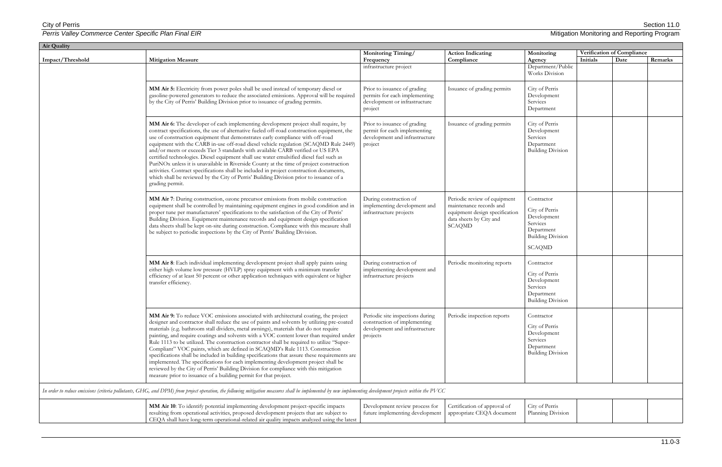| Air Quality      |                                                                                                                                                                                                                                                                                                                                                                                                                                                                                                                                                                                                                                                                                                                                                                                                                                                                                                              |                                                                                                                |                                                                                                                                       |                                                                                                                    |                            |      |         |  |  |
|------------------|--------------------------------------------------------------------------------------------------------------------------------------------------------------------------------------------------------------------------------------------------------------------------------------------------------------------------------------------------------------------------------------------------------------------------------------------------------------------------------------------------------------------------------------------------------------------------------------------------------------------------------------------------------------------------------------------------------------------------------------------------------------------------------------------------------------------------------------------------------------------------------------------------------------|----------------------------------------------------------------------------------------------------------------|---------------------------------------------------------------------------------------------------------------------------------------|--------------------------------------------------------------------------------------------------------------------|----------------------------|------|---------|--|--|
|                  |                                                                                                                                                                                                                                                                                                                                                                                                                                                                                                                                                                                                                                                                                                                                                                                                                                                                                                              | Monitoring Timing/                                                                                             | <b>Action Indicating</b>                                                                                                              | Monitoring                                                                                                         | Verification of Compliance |      |         |  |  |
| Impact/Threshold | <b>Mitigation Measure</b>                                                                                                                                                                                                                                                                                                                                                                                                                                                                                                                                                                                                                                                                                                                                                                                                                                                                                    | Frequency                                                                                                      | Compliance                                                                                                                            | Agency                                                                                                             | Initials                   | Date | Remarks |  |  |
|                  |                                                                                                                                                                                                                                                                                                                                                                                                                                                                                                                                                                                                                                                                                                                                                                                                                                                                                                              | infrastructure project                                                                                         |                                                                                                                                       | Department/Public<br>Works Division                                                                                |                            |      |         |  |  |
|                  | MM Air 5: Electricity from power poles shall be used instead of temporary diesel or<br>gasoline-powered generators to reduce the associated emissions. Approval will be required<br>by the City of Perris' Building Division prior to issuance of grading permits.                                                                                                                                                                                                                                                                                                                                                                                                                                                                                                                                                                                                                                           | Prior to issuance of grading<br>permits for each implementing<br>development or infrastructure<br>project      | Issuance of grading permits                                                                                                           | City of Perris<br>Development<br>Services<br>Department                                                            |                            |      |         |  |  |
|                  | MM Air 6: The developer of each implementing development project shall require, by<br>contract specifications, the use of alternative fueled off-road construction equipment, the<br>use of construction equipment that demonstrates early compliance with off-road<br>equipment with the CARB in-use off-road diesel vehicle regulation (SCAQMD Rule 2449)<br>and/or meets or exceeds Tier 3 standards with available CARB verified or US EPA<br>certified technologies. Diesel equipment shall use water emulsified diesel fuel such as<br>PuriNOx unless it is unavailable in Riverside County at the time of project construction<br>activities. Contract specifications shall be included in project construction documents,<br>which shall be reviewed by the City of Perris' Building Division prior to issuance of a<br>grading permit.                                                              | Prior to issuance of grading<br>permit for each implementing<br>development and infrastructure<br>project      | Issuance of grading permits                                                                                                           | City of Perris<br>Development<br>Services<br>Department<br><b>Building Division</b>                                |                            |      |         |  |  |
|                  | MM Air 7: During construction, ozone precursor emissions from mobile construction<br>equipment shall be controlled by maintaining equipment engines in good condition and in<br>proper tune per manufacturers' specifications to the satisfaction of the City of Perris'<br>Building Division. Equipment maintenance records and equipment design specification<br>data sheets shall be kept on-site during construction. Compliance with this measure shall<br>be subject to periodic inspections by the City of Perris' Building Division.                                                                                                                                                                                                                                                                                                                                                                 | During construction of<br>implementing development and<br>infrastructure projects                              | Periodic review of equipment<br>maintenance records and<br>equipment design specification<br>data sheets by City and<br><b>SCAQMD</b> | Contractor<br>City of Perris<br>Development<br>Services<br>Department<br><b>Building Division</b><br><b>SCAQMD</b> |                            |      |         |  |  |
|                  | MM Air 8: Each individual implementing development project shall apply paints using<br>either high volume low pressure (HVLP) spray equipment with a minimum transfer<br>efficiency of at least 50 percent or other application techniques with equivalent or higher<br>transfer efficiency.                                                                                                                                                                                                                                                                                                                                                                                                                                                                                                                                                                                                                 | During construction of<br>implementing development and<br>infrastructure projects                              | Periodic monitoring reports                                                                                                           | Contractor<br>City of Perris<br>Development<br>Services<br>Department<br><b>Building Division</b>                  |                            |      |         |  |  |
|                  | MM Air 9: To reduce VOC emissions associated with architectural coating, the project<br>designer and contractor shall reduce the use of paints and solvents by utilizing pre-coated<br>materials (e.g. bathroom stall dividers, metal awnings), materials that do not require<br>painting, and require coatings and solvents with a VOC content lower than required under<br>Rule 1113 to be utilized. The construction contractor shall be required to utilize "Super-<br>Compliant" VOC paints, which are defined in SCAQMD's Rule 1113. Construction<br>specifications shall be included in building specifications that assure these requirements are<br>implemented. The specifications for each implementing development project shall be<br>reviewed by the City of Perris' Building Division for compliance with this mitigation<br>measure prior to issuance of a building permit for that project. | Periodic site inspections during<br>construction of implementing<br>development and infrastructure<br>projects | Periodic inspection reports                                                                                                           | Contractor<br>City of Perris<br>Development<br>Services<br>Department<br><b>Building Division</b>                  |                            |      |         |  |  |
|                  | In order to reduce emissions (criteria pollutants, GHG, and DPM) from project operation, the following mitigation measures shall be implemented by new implementing development projects within the PVCC                                                                                                                                                                                                                                                                                                                                                                                                                                                                                                                                                                                                                                                                                                     |                                                                                                                |                                                                                                                                       |                                                                                                                    |                            |      |         |  |  |
|                  | MM Air 10: To identify potential implementing development project-specific impacts<br>resulting from operational activities, proposed development projects that are subject to<br>CEQA shall have long-term operational-related air quality impacts analyzed using the latest                                                                                                                                                                                                                                                                                                                                                                                                                                                                                                                                                                                                                                | Development review process for<br>future implementing development                                              | Certification of approval of<br>appropriate CEQA document                                                                             | City of Perris<br>Planning Division                                                                                |                            |      |         |  |  |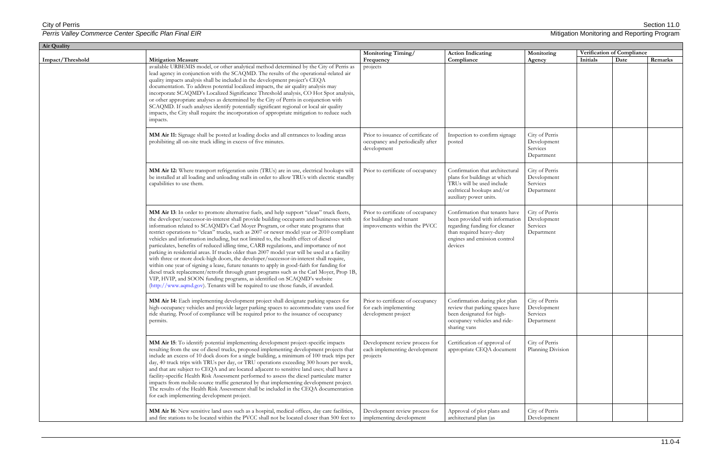| Air Quality      |                                                                                                                                                                                                                                                                                                                                                                                                                                                                                                                                                                                                                                                                                                                                                                                                                                                                                                                                                                                                                                                                                                           |                                                                                               |                                                                                                                                                                          |                                                         |                            |      |         |  |
|------------------|-----------------------------------------------------------------------------------------------------------------------------------------------------------------------------------------------------------------------------------------------------------------------------------------------------------------------------------------------------------------------------------------------------------------------------------------------------------------------------------------------------------------------------------------------------------------------------------------------------------------------------------------------------------------------------------------------------------------------------------------------------------------------------------------------------------------------------------------------------------------------------------------------------------------------------------------------------------------------------------------------------------------------------------------------------------------------------------------------------------|-----------------------------------------------------------------------------------------------|--------------------------------------------------------------------------------------------------------------------------------------------------------------------------|---------------------------------------------------------|----------------------------|------|---------|--|
|                  |                                                                                                                                                                                                                                                                                                                                                                                                                                                                                                                                                                                                                                                                                                                                                                                                                                                                                                                                                                                                                                                                                                           | Monitoring Timing/                                                                            | <b>Action Indicating</b>                                                                                                                                                 | Monitoring                                              | Verification of Compliance |      |         |  |
| Impact/Threshold | <b>Mitigation Measure</b><br>available URBEMIS model, or other analytical method determined by the City of Perris as                                                                                                                                                                                                                                                                                                                                                                                                                                                                                                                                                                                                                                                                                                                                                                                                                                                                                                                                                                                      | Frequency<br>projects                                                                         | Compliance                                                                                                                                                               | Agency                                                  | Initials                   | Date | Remarks |  |
|                  | lead agency in conjunction with the SCAQMD. The results of the operational-related air<br>quality impacts analysis shall be included in the development project's CEQA<br>documentation. To address potential localized impacts, the air quality analysis may<br>incorporate SCAQMD's Localized Significance Threshold analysis, CO Hot Spot analysis,<br>or other appropriate analyses as determined by the City of Perris in conjunction with<br>SCAQMD. If such analyses identify potentially significant regional or local air quality<br>impacts, the City shall require the incorporation of appropriate mitigation to reduce such<br>impacts.                                                                                                                                                                                                                                                                                                                                                                                                                                                      |                                                                                               |                                                                                                                                                                          |                                                         |                            |      |         |  |
|                  | MM Air 11: Signage shall be posted at loading docks and all entrances to loading areas<br>prohibiting all on-site truck idling in excess of five minutes.                                                                                                                                                                                                                                                                                                                                                                                                                                                                                                                                                                                                                                                                                                                                                                                                                                                                                                                                                 | Prior to issuance of certificate of<br>occupancy and periodically after<br>development        | Inspection to confirm signage<br>posted                                                                                                                                  | City of Perris<br>Development<br>Services<br>Department |                            |      |         |  |
|                  | MM Air 12: Where transport refrigeration units (TRUs) are in use, electrical hookups will<br>be installed at all loading and unloading stalls in order to allow TRUs with electric standby<br>capabilities to use them.                                                                                                                                                                                                                                                                                                                                                                                                                                                                                                                                                                                                                                                                                                                                                                                                                                                                                   | Prior to certificate of occupancy                                                             | Confirmation that architectural<br>plans for buildings at which<br>TRUs will be used include<br>eceltriccal hookups and/or<br>auxiliary power units.                     | City of Perris<br>Development<br>Services<br>Department |                            |      |         |  |
|                  | MM Air 13: In order to promote alternative fuels, and help support "clean" truck fleets,<br>the developer/successor-in-interest shall provide building occupants and businesses with<br>information related to SCAQMD's Carl Moyer Program, or other state programs that<br>restrict operations to "clean" trucks, such as 2007 or newer model year or 2010 compliant<br>vehicles and information including, but not limited to, the health effect of diesel<br>particulates, benefits of reduced idling time, CARB regulations, and importance of not<br>parking in residential areas. If trucks older than 2007 model year will be used at a facility<br>with three or more dock-high doors, the developer/successor-in-interest shall require,<br>within one year of signing a lease, future tenants to apply in good-faith for funding for<br>diesel truck replacement/retrofit through grant programs such as the Carl Moyer, Prop 1B,<br>VIP, HVIP, and SOON funding programs, as identified on SCAQMD's website<br>(http://www.aqmd.gov). Tenants will be required to use those funds, if awarded. | Prior to certificate of occupancy<br>for buildings and tenant<br>improvements within the PVCC | Confirmation that tenants have<br>been provided with information<br>regarding funding for cleaner<br>than required heavy-duty<br>engines and emission control<br>devices | City of Perris<br>Development<br>Services<br>Department |                            |      |         |  |
|                  | MM Air 14: Each implementing development project shall designate parking spaces for<br>high-occupancy vehicles and provide larger parking spaces to accommodate vans used for<br>ride sharing. Proof of compliance will be required prior to the issuance of occupancy<br>permits.                                                                                                                                                                                                                                                                                                                                                                                                                                                                                                                                                                                                                                                                                                                                                                                                                        | Prior to certificate of occupancy<br>for each implementing<br>development project             | Confirmation during plot plan<br>review that parking spaces have<br>been designated for high-<br>occupancy vehicles and ride-<br>sharing vans                            | City of Perris<br>Development<br>Services<br>Department |                            |      |         |  |
|                  | MM Air 15: To identify potential implementing development project-specific impacts<br>resulting from the use of diesel trucks, proposed implementing development projects that<br>include an excess of 10 dock doors for a single building, a minimum of 100 truck trips per<br>day, 40 truck trips with TRUs per day, or TRU operations exceeding 300 hours per week,<br>and that are subject to CEQA and are located adjacent to sensitive land uses; shall have a<br>facility-specific Health Risk Assessment performed to assess the diesel particulate matter<br>impacts from mobile-source traffic generated by that implementing development project.<br>The results of the Health Risk Assessment shall be included in the CEQA documentation<br>for each implementing development project.                                                                                                                                                                                                                                                                                                       | Development review process for<br>each implementing development<br>projects                   | Certification of approval of<br>appropriate CEQA document                                                                                                                | City of Perris<br>Planning Division                     |                            |      |         |  |
|                  | MM Air 16: New sensitive land uses such as a hospital, medical offices, day care facilities,<br>and fire stations to be located within the PVCC shall not be located closer than 500 feet to                                                                                                                                                                                                                                                                                                                                                                                                                                                                                                                                                                                                                                                                                                                                                                                                                                                                                                              | Development review process for<br>implementing development                                    | Approval of plot plans and<br>architectural plan (as                                                                                                                     | City of Perris<br>Development                           |                            |      |         |  |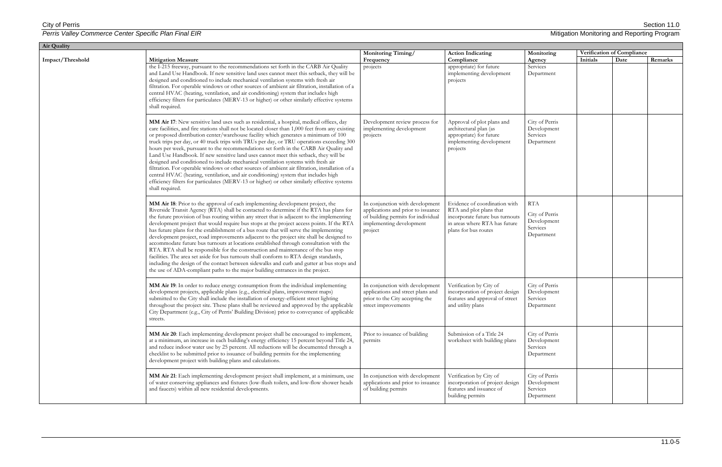| <b>Air Quality</b> |                                                                                                                                                                                                                                                                                                                                                                                                                                                                                                                                                                                                                                                                                                                                                                                                                                                                                                                                                                                                                      |                                                                                                                                                    |                                                                                                                                                      |                                                                |                            |      |         |
|--------------------|----------------------------------------------------------------------------------------------------------------------------------------------------------------------------------------------------------------------------------------------------------------------------------------------------------------------------------------------------------------------------------------------------------------------------------------------------------------------------------------------------------------------------------------------------------------------------------------------------------------------------------------------------------------------------------------------------------------------------------------------------------------------------------------------------------------------------------------------------------------------------------------------------------------------------------------------------------------------------------------------------------------------|----------------------------------------------------------------------------------------------------------------------------------------------------|------------------------------------------------------------------------------------------------------------------------------------------------------|----------------------------------------------------------------|----------------------------|------|---------|
| Impact/Threshold   | Monitoring Timing/                                                                                                                                                                                                                                                                                                                                                                                                                                                                                                                                                                                                                                                                                                                                                                                                                                                                                                                                                                                                   | <b>Action Indicating</b>                                                                                                                           | Monitoring                                                                                                                                           |                                                                | Verification of Compliance |      |         |
|                    | <b>Mitigation Measure</b><br>the I-215 freeway, pursuant to the recommendations set forth in the CARB Air Quality<br>and Land Use Handbook. If new sensitive land uses cannot meet this setback, they will be<br>designed and conditioned to include mechanical ventilation systems with fresh air<br>filtration. For operable windows or other sources of ambient air filtration, installation of a<br>central HVAC (heating, ventilation, and air conditioning) system that includes high<br>efficiency filters for particulates (MERV-13 or higher) or other similarly effective systems<br>shall required.                                                                                                                                                                                                                                                                                                                                                                                                       | Frequency<br>projects                                                                                                                              | Compliance<br>appropriate) for future<br>implementing development<br>projects                                                                        | Agency<br>Services<br>Department                               | Initials                   | Date | Remarks |
|                    | MM Air 17: New sensitive land uses such as residential, a hospital, medical offices, day<br>care facilities, and fire stations shall not be located closer than 1,000 feet from any existing<br>or proposed distribution center/warehouse facility which generates a minimum of 100<br>truck trips per day, or 40 truck trips with TRUs per day, or TRU operations exceeding 300<br>hours per week, pursuant to the recommendations set forth in the CARB Air Quality and<br>Land Use Handbook. If new sensitive land uses cannot meet this setback, they will be<br>designed and conditioned to include mechanical ventilation systems with fresh air<br>filtration. For operable windows or other sources of ambient air filtration, installation of a<br>central HVAC (heating, ventilation, and air conditioning) system that includes high<br>efficiency filters for particulates (MERV-13 or higher) or other similarly effective systems<br>shall required.                                                   | Development review process for<br>implementing development<br>projects                                                                             | Approval of plot plans and<br>architectural plan (as<br>appropriate) for future<br>implementing development<br>projects                              | City of Perris<br>Development<br>Services<br>Department        |                            |      |         |
|                    | MM Air 18: Prior to the approval of each implementing development project, the<br>Riverside Transit Agency (RTA) shall be contacted to determine if the RTA has plans for<br>the future provision of bus routing within any street that is adjacent to the implementing<br>development project that would require bus stops at the project access points. If the RTA<br>has future plans for the establishment of a bus route that will serve the implementing<br>development project, road improvements adjacent to the project site shall be designed to<br>accommodate future bus turnouts at locations established through consultation with the<br>RTA. RTA shall be responsible for the construction and maintenance of the bus stop<br>facilities. The area set aside for bus turnouts shall conform to RTA design standards,<br>including the design of the contact between sidewalks and curb and gutter at bus stops and<br>the use of ADA-compliant paths to the major building entrances in the project. | In conjunction with development<br>applications and prior to issuance<br>of building permits for individual<br>implementing development<br>project | Evidence of coordination with<br>RTA and plot plans that<br>incorporate future bus turnouts<br>in areas where RTA has future<br>plans for bus routes | RTA<br>City of Perris<br>Development<br>Services<br>Department |                            |      |         |
|                    | MM Air 19: In order to reduce energy consumption from the individual implementing<br>development projects, applicable plans (e.g., electrical plans, improvement maps)<br>submitted to the City shall include the installation of energy-efficient street lighting<br>throughout the project site. These plans shall be reviewed and approved by the applicable<br>City Department (e.g., City of Perris' Building Division) prior to conveyance of applicable<br>streets.                                                                                                                                                                                                                                                                                                                                                                                                                                                                                                                                           | In conjunction with development<br>applications and street plans and<br>prior to the City accepting the<br>street improvements                     | Verification by City of<br>incorporation of project design<br>features and approval of street<br>and utility plans                                   | City of Perris<br>Development<br>Services<br>Department        |                            |      |         |
|                    | MM Air 20: Each implementing development project shall be encouraged to implement,<br>at a minimum, an increase in each building's energy efficiency 15 percent beyond Title 24,<br>and reduce indoor water use by 25 percent. All reductions will be documented through a<br>checklist to be submitted prior to issuance of building permits for the implementing<br>development project with building plans and calculations.                                                                                                                                                                                                                                                                                                                                                                                                                                                                                                                                                                                      | Prior to issuance of building<br>permits                                                                                                           | Submission of a Title 24<br>worksheet with building plans                                                                                            | City of Perris<br>Development<br>Services<br>Department        |                            |      |         |
|                    | MM Air 21: Each implementing development project shall implement, at a minimum, use<br>of water conserving appliances and fixtures (low-flush toilets, and low-flow shower heads<br>and faucets) within all new residential developments.                                                                                                                                                                                                                                                                                                                                                                                                                                                                                                                                                                                                                                                                                                                                                                            | In conjunction with development<br>applications and prior to issuance<br>of building permits                                                       | Verification by City of<br>incorporation of project design<br>features and issuance of<br>building permits                                           | City of Perris<br>Development<br>Services<br>Department        |                            |      |         |

| Mitigation Monitoring and Reporting Program |  |  |  |
|---------------------------------------------|--|--|--|
|---------------------------------------------|--|--|--|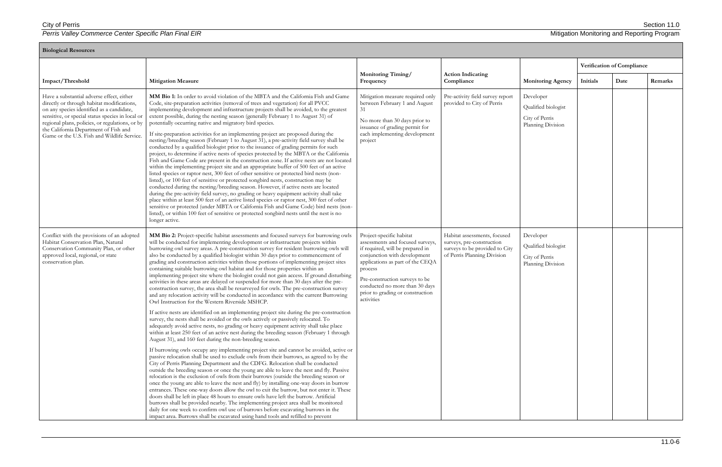| <b>Biological Resources</b>                                                                                                                                                                                                                                                                                                         |                                                                                                                                                                                                                                                                                                                                                                                                                                                                                                                                                                                                                                                                                                                                                                                                                                                                                                                                                                                                                                                                                                                                                                                                                                                                                                                                                                                                                                                                                                                                                                                                                                                                                                                                                                                                                                                                              |                                                                                                                                                                                                                                                                                                       |                                                                                                                            |                                                                         |                            |      |         |  |  |
|-------------------------------------------------------------------------------------------------------------------------------------------------------------------------------------------------------------------------------------------------------------------------------------------------------------------------------------|------------------------------------------------------------------------------------------------------------------------------------------------------------------------------------------------------------------------------------------------------------------------------------------------------------------------------------------------------------------------------------------------------------------------------------------------------------------------------------------------------------------------------------------------------------------------------------------------------------------------------------------------------------------------------------------------------------------------------------------------------------------------------------------------------------------------------------------------------------------------------------------------------------------------------------------------------------------------------------------------------------------------------------------------------------------------------------------------------------------------------------------------------------------------------------------------------------------------------------------------------------------------------------------------------------------------------------------------------------------------------------------------------------------------------------------------------------------------------------------------------------------------------------------------------------------------------------------------------------------------------------------------------------------------------------------------------------------------------------------------------------------------------------------------------------------------------------------------------------------------------|-------------------------------------------------------------------------------------------------------------------------------------------------------------------------------------------------------------------------------------------------------------------------------------------------------|----------------------------------------------------------------------------------------------------------------------------|-------------------------------------------------------------------------|----------------------------|------|---------|--|--|
|                                                                                                                                                                                                                                                                                                                                     |                                                                                                                                                                                                                                                                                                                                                                                                                                                                                                                                                                                                                                                                                                                                                                                                                                                                                                                                                                                                                                                                                                                                                                                                                                                                                                                                                                                                                                                                                                                                                                                                                                                                                                                                                                                                                                                                              |                                                                                                                                                                                                                                                                                                       |                                                                                                                            |                                                                         | Verification of Compliance |      |         |  |  |
| Impact/Threshold                                                                                                                                                                                                                                                                                                                    | <b>Mitigation Measure</b>                                                                                                                                                                                                                                                                                                                                                                                                                                                                                                                                                                                                                                                                                                                                                                                                                                                                                                                                                                                                                                                                                                                                                                                                                                                                                                                                                                                                                                                                                                                                                                                                                                                                                                                                                                                                                                                    | <b>Monitoring Timing/</b><br>Frequency                                                                                                                                                                                                                                                                | <b>Action Indicating</b><br>Compliance                                                                                     | <b>Monitoring Agency</b>                                                | Initials                   | Date | Remarks |  |  |
| Have a substantial adverse effect, either<br>directly or through habitat modifications,<br>on any species identified as a candidate,<br>sensitive, or special status species in local or<br>regional plans, policies, or regulations, or by<br>the California Department of Fish and<br>Game or the U.S. Fish and Wildlife Service. | MM Bio 1: In order to avoid violation of the MBTA and the California Fish and Game<br>Code, site-preparation activities (removal of trees and vegetation) for all PVCC<br>implementing development and infrastructure projects shall be avoided, to the greatest<br>extent possible, during the nesting season (generally February 1 to August 31) of<br>potentially occurring native and migratory bird species.<br>If site-preparation activities for an implementing project are proposed during the<br>nesting/breeding season (February 1 to August 31), a pre-activity field survey shall be<br>conducted by a qualified biologist prior to the issuance of grading permits for such<br>project, to determine if active nests of species protected by the MBTA or the California<br>Fish and Game Code are present in the construction zone. If active nests are not located<br>within the implementing project site and an appropriate buffer of 500 feet of an active<br>listed species or raptor nest, 300 feet of other sensitive or protected bird nests (non-<br>listed), or 100 feet of sensitive or protected songbird nests, construction may be<br>conducted during the nesting/breeding season. However, if active nests are located<br>during the pre-activity field survey, no grading or heavy equipment activity shall take<br>place within at least 500 feet of an active listed species or raptor nest, 300 feet of other<br>sensitive or protected (under MBTA or California Fish and Game Code) bird nests (non-<br>listed), or within 100 feet of sensitive or protected songbird nests until the nest is no<br>longer active.                                                                                                                                                                                                                     | Mitigation measure required only<br>between February 1 and August<br>31<br>No more than 30 days prior to<br>issuance of grading permit for<br>each implementing development<br>project                                                                                                                | Pre-activity field survey report<br>provided to City of Perris                                                             | Developer<br>Qualified biologist<br>City of Perris<br>Planning Division |                            |      |         |  |  |
| Conflict with the provisions of an adopted<br>Habitat Conservation Plan, Natural<br>Conservation Community Plan, or other<br>approved local, regional, or state<br>conservation plan.                                                                                                                                               | MM Bio 2: Project-specific habitat assessments and focused surveys for burrowing owls<br>will be conducted for implementing development or infrastructure projects within<br>burrowing owl survey areas. A pre-construction survey for resident burrowing owls will<br>also be conducted by a qualified biologist within 30 days prior to commencement of<br>grading and construction activities within those portions of implementing project sites<br>containing suitable burrowing owl habitat and for those properties within an<br>implementing project site where the biologist could not gain access. If ground disturbing<br>activities in these areas are delayed or suspended for more than 30 days after the pre-<br>construction survey, the area shall be resurveyed for owls. The pre-construction survey<br>and any relocation activity will be conducted in accordance with the current Burrowing<br>Owl Instruction for the Western Riverside MSHCP.<br>If active nests are identified on an implementing project site during the pre-construction<br>survey, the nests shall be avoided or the owls actively or passively relocated. To<br>adequately avoid active nests, no grading or heavy equipment activity shall take place<br>within at least 250 feet of an active nest during the breeding season (February 1 through<br>August 31), and 160 feet during the non-breeding season.<br>If burrowing owls occupy any implementing project site and cannot be avoided, active or<br>passive relocation shall be used to exclude owls from their burrows, as agreed to by the<br>City of Perris Planning Department and the CDFG. Relocation shall be conducted<br>outside the breeding season or once the young are able to leave the nest and fly. Passive<br>relocation is the exclusion of owls from their burrows (outside the breeding season or | Project-specific habitat<br>assessments and focused surveys,<br>if required, will be prepared in<br>conjunction with development<br>applications as part of the CEQA<br>process<br>Pre-construction surveys to be<br>conducted no more than 30 days<br>prior to grading or construction<br>activities | Habitat assessments, focused<br>surveys, pre-construction<br>surveys to be provided to City<br>of Perris Planning Division | Developer<br>Qualified biologist<br>City of Perris<br>Planning Division |                            |      |         |  |  |
|                                                                                                                                                                                                                                                                                                                                     | once the young are able to leave the nest and fly) by installing one-way doors in burrow<br>entrances. These one-way doors allow the owl to exit the burrow, but not enter it. These<br>doors shall be left in place 48 hours to ensure owls have left the burrow. Artificial<br>burrows shall be provided nearby. The implementing project area shall be monitored<br>daily for one week to confirm owl use of burrows before excavating burrows in the<br>impact area. Burrows shall be excavated using hand tools and refilled to prevent                                                                                                                                                                                                                                                                                                                                                                                                                                                                                                                                                                                                                                                                                                                                                                                                                                                                                                                                                                                                                                                                                                                                                                                                                                                                                                                                 |                                                                                                                                                                                                                                                                                                       |                                                                                                                            |                                                                         |                            |      |         |  |  |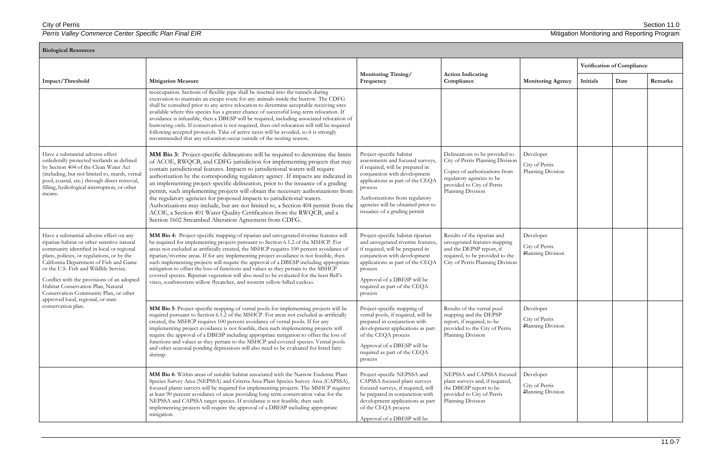| <b>Biological Resources</b>                                                                                                                                                                                                                                                                                                                                                                                                                                     |                                                                                                                                                                                                                                                                                                                                                                                                                                                                                                                                                                                                                                                                                                                                                                                                               |                                                                                                                                                                                                                                                                                        |                                                                                                                                                                                     |                                                  |          |                            |         |  |  |
|-----------------------------------------------------------------------------------------------------------------------------------------------------------------------------------------------------------------------------------------------------------------------------------------------------------------------------------------------------------------------------------------------------------------------------------------------------------------|---------------------------------------------------------------------------------------------------------------------------------------------------------------------------------------------------------------------------------------------------------------------------------------------------------------------------------------------------------------------------------------------------------------------------------------------------------------------------------------------------------------------------------------------------------------------------------------------------------------------------------------------------------------------------------------------------------------------------------------------------------------------------------------------------------------|----------------------------------------------------------------------------------------------------------------------------------------------------------------------------------------------------------------------------------------------------------------------------------------|-------------------------------------------------------------------------------------------------------------------------------------------------------------------------------------|--------------------------------------------------|----------|----------------------------|---------|--|--|
|                                                                                                                                                                                                                                                                                                                                                                                                                                                                 |                                                                                                                                                                                                                                                                                                                                                                                                                                                                                                                                                                                                                                                                                                                                                                                                               |                                                                                                                                                                                                                                                                                        |                                                                                                                                                                                     |                                                  |          | Verification of Compliance |         |  |  |
| Impact/Threshold                                                                                                                                                                                                                                                                                                                                                                                                                                                | <b>Mitigation Measure</b>                                                                                                                                                                                                                                                                                                                                                                                                                                                                                                                                                                                                                                                                                                                                                                                     | <b>Monitoring Timing/</b><br>Frequency                                                                                                                                                                                                                                                 | <b>Action Indicating</b><br>Compliance                                                                                                                                              | <b>Monitoring Agency</b>                         | Initials | Date                       | Remarks |  |  |
|                                                                                                                                                                                                                                                                                                                                                                                                                                                                 | reoccupation. Sections of flexible pipe shall be inserted into the tunnels during<br>excavation to maintain an escape route for any animals inside the burrow. The CDFG<br>shall be consulted prior to any active relocation to determine acceptable receiving sites<br>available where this species has a greater chance of successful long-term relocation. If<br>avoidance is infeasible, then a DBESP will be required, including associated relocation of<br>burrowing owls. If conservation is not required, then owl relocation will still be required<br>following accepted protocols. Take of active nests will be avoided, so it is strongly<br>recommended that any relocation occur outside of the nesting season.                                                                                |                                                                                                                                                                                                                                                                                        |                                                                                                                                                                                     |                                                  |          |                            |         |  |  |
| Have a substantial adverse effect<br>onfederally protected wetlands as defined<br>by Section 404 of the Clean Water Act<br>(including, but not limited to, marsh, vernal<br>pool, coastal, etc.) through direct removal,<br>filling, hydrological interruption, or other<br>means.                                                                                                                                                                              | MM Bio 3: Project-specific delineations will be required to determine the limits<br>of ACOE, RWQCB, and CDFG jurisdiction for implementing projects that may<br>contain jurisdictional features. Impacts to jurisdictional waters will require<br>authorization by the corresponding regulatory agency. If impacts are indicated in<br>an implementing project-specific delineation, prior to the issuance of a grading<br>permit, such implementing projects will obtain the necessary authorizations from<br>the regulatory agencies for proposed impacts to jurisdictional waters.<br>Authorizations may include, but are not limited to, a Section 404 permit from the<br>ACOE, a Section 401 Water Quality Certification from the RWQCB, and a<br>Section 1602 Streambed Alteration Agreement from CDFG. | Project-specific habitat<br>assessments and focused surveys<br>if required, will be prepared in<br>conjunction with development<br>applications as part of the CEQA<br>process<br>Authorizations from regulatory<br>agencies will be obtained prior to<br>issuance of a grading permit | Delineations to be provided to<br>City of Perris Planning Division<br>Copies of authorizations from<br>regulatory agencies to be<br>provided to City of Perris<br>Planning Division | Developer<br>City of Perris<br>Planning Division |          |                            |         |  |  |
| Have a substantial adverse effect on any<br>riparian habitat or other sensitive natural<br>community identified in local or regional<br>plans, policies, or regulations, or by the<br>California Department of Fish and Game<br>or the U.S. Fish and Wildlife Service.<br>Conflict with the provisions of an adopted<br>Habitat Conservation Plan, Natural<br>Conservation Community Plan, or other<br>approved local, regional, or state<br>conservation plan. | MM Bio 4: Project-specific mapping of riparian and unvegetated riverine features will<br>be required for implementing projects pursuant to Section 6.1.2 of the MSHCP. For<br>areas not excluded as artificially created, the MSHCP requires 100 percent avoidance of<br>riparian/riverine areas. If for any implementing project avoidance is not feasible, then<br>such implementing projects will require the approval of a DBESP including appropriate<br>mitigation to offset the loss of functions and values as they pertain to the MSHCP<br>covered species. Riparian vegetation will also need to be evaluated for the least Bell's<br>vireo, southwestern willow flycatcher, and western yellow-billed cuckoo.                                                                                      | Project-specific habitat riparian<br>and unvegetated riverine features,<br>if required, will be prepared in<br>conjunction with development<br>applications as part of the CEQA<br>process<br>Approval of a DBESP will be<br>required as part of the CEQA<br>process                   | Results of the riparian and<br>unvegetated features mapping<br>and the DEPSP report, if<br>required, to be provided to the<br>City of Perris Planning Division                      | Developer<br>City of Perris<br>Planning Division |          |                            |         |  |  |
|                                                                                                                                                                                                                                                                                                                                                                                                                                                                 | MM Bio 5: Project-specific mapping of vernal pools for implementing projects will be<br>required pursuant to Section 6.1.2 of the MSHCP. For areas not excluded as artificially<br>created, the MSHCP requires 100 percent avoidance of vernal pools. If for any<br>implementing project avoidance is not feasible, then such implementing projects will<br>require the approval of a DBESP including appropriate mitigation to offset the loss of<br>functions and values as they pertain to the MSHCP and covered species. Vernal pools<br>and other seasonal ponding depressions will also need to be evaluated for listed fairy<br>shrimp.                                                                                                                                                                | Project-specific mapping of<br>vernal pools, if required, will be<br>prepared in conjunction with<br>development applications as part<br>of the CEQA process<br>Approval of a DBESP will be<br>required as part of the CEQA<br>process                                                 | Results of the vernal pool<br>mapping and the DEPSP<br>report, if required, to be<br>provided to the City of Perris<br>Planning Division                                            | Developer<br>City of Perris<br>Planning Division |          |                            |         |  |  |
|                                                                                                                                                                                                                                                                                                                                                                                                                                                                 | MM Bio 6: Within areas of suitable habitat associated with the Narrow Endemic Plant<br>Species Survey Area (NEPSSA) and Criteria Area Plant Species Survey Area (CAPSSA),<br>focused plants surveys will be required for implementing projects. The MSHCP requires<br>at least 90 percent avoidance of areas providing long-term conservation value for the<br>NEPSSA and CAPSSA target species. If avoidance is not feasible, then such<br>implementing projects will require the approval of a DBESP including appropriate<br>mitigation.                                                                                                                                                                                                                                                                   | Project-specific NEPSSA and<br>CAPSSA focused plant surveys<br>focused surveys, if required, will<br>be prepared in conjunction with<br>development applications as part<br>of the CEQA process<br>Approval of a DBESP will be                                                         | NEPSSA and CAPSSA focused<br>plant surveys and, if required,<br>the DBESP report to be<br>provided to City of Perris<br>Planning Division                                           | Developer<br>City of Perris<br>Planning Division |          |                            |         |  |  |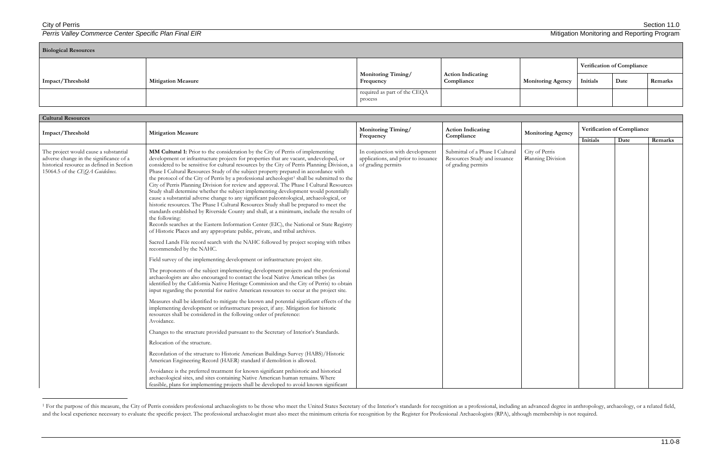### City of Perris Section 11.0

 $\overline{\phantom{a}}$ 

**Perris Valley Commerce Center Specific Plan Final EIR** Mitigation Monitoring and Reporting Program Mitigation Monitoring and Reporting Program

| <b>Cultural Resources</b>                                                                                                                                        |                                                                                                                                                                                                                                                                                                                                                                                                                                                                                                                                                                                                                                                                                                                                                                                                                                                                                                                                                                                                                                                                                                                                                                                                                                                                                                                                                                                                                                                                                                                                                                                                                                                                                                                                                                                                                                 |                                                                                              |                                                                                       |                                     |          |                            |         |  |  |
|------------------------------------------------------------------------------------------------------------------------------------------------------------------|---------------------------------------------------------------------------------------------------------------------------------------------------------------------------------------------------------------------------------------------------------------------------------------------------------------------------------------------------------------------------------------------------------------------------------------------------------------------------------------------------------------------------------------------------------------------------------------------------------------------------------------------------------------------------------------------------------------------------------------------------------------------------------------------------------------------------------------------------------------------------------------------------------------------------------------------------------------------------------------------------------------------------------------------------------------------------------------------------------------------------------------------------------------------------------------------------------------------------------------------------------------------------------------------------------------------------------------------------------------------------------------------------------------------------------------------------------------------------------------------------------------------------------------------------------------------------------------------------------------------------------------------------------------------------------------------------------------------------------------------------------------------------------------------------------------------------------|----------------------------------------------------------------------------------------------|---------------------------------------------------------------------------------------|-------------------------------------|----------|----------------------------|---------|--|--|
| Impact/Threshold                                                                                                                                                 | <b>Mitigation Measure</b>                                                                                                                                                                                                                                                                                                                                                                                                                                                                                                                                                                                                                                                                                                                                                                                                                                                                                                                                                                                                                                                                                                                                                                                                                                                                                                                                                                                                                                                                                                                                                                                                                                                                                                                                                                                                       | <b>Monitoring Timing/</b>                                                                    | <b>Action Indicating</b><br>Compliance                                                | <b>Monitoring Agency</b>            |          | Verification of Compliance |         |  |  |
|                                                                                                                                                                  |                                                                                                                                                                                                                                                                                                                                                                                                                                                                                                                                                                                                                                                                                                                                                                                                                                                                                                                                                                                                                                                                                                                                                                                                                                                                                                                                                                                                                                                                                                                                                                                                                                                                                                                                                                                                                                 | Frequency                                                                                    |                                                                                       |                                     | Initials | Date                       | Remarks |  |  |
| The project would cause a substantial<br>adverse change in the significance of a<br>historical resource as defined in Section<br>15064.5 of the CEQA Guidelines. | MM Cultural 1: Prior to the consideration by the City of Perris of implementing<br>development or infrastructure projects for properties that are vacant, undeveloped, or<br>considered to be sensitive for cultural resources by the City of Perris Planning Division, a<br>Phase I Cultural Resources Study of the subject property prepared in accordance with<br>the protocol of the City of Perris by a professional archeologist <sup>1</sup> shall be submitted to the<br>City of Perris Planning Division for review and approval. The Phase I Cultural Resources<br>Study shall determine whether the subject implementing development would potentially<br>cause a substantial adverse change to any significant paleontological, archaeological, or<br>historic resources. The Phase I Cultural Resources Study shall be prepared to meet the<br>standards established by Riverside County and shall, at a minimum, include the results of<br>the following:<br>Records searches at the Eastern Information Center (EIC), the National or State Registry<br>of Historic Places and any appropriate public, private, and tribal archives.<br>Sacred Lands File record search with the NAHC followed by project scoping with tribes<br>recommended by the NAHC.<br>Field survey of the implementing development or infrastructure project site.<br>The proponents of the subject implementing development projects and the professional<br>archaeologists are also encouraged to contact the local Native American tribes (as<br>identified by the California Native Heritage Commission and the City of Perris) to obtain<br>input regarding the potential for native American resources to occur at the project site.<br>Measures shall be identified to mitigate the known and potential significant effects of the | In conjunction with development<br>applications, and prior to issuance<br>of grading permits | Submittal of a Phase I Cultural<br>Resources Study and issuance<br>of grading permits | City of Perris<br>Planning Division |          |                            |         |  |  |
|                                                                                                                                                                  | implementing development or infrastructure project, if any. Mitigation for historic<br>resources shall be considered in the following order of preference:<br>Avoidance.<br>Changes to the structure provided pursuant to the Secretary of Interior's Standards.                                                                                                                                                                                                                                                                                                                                                                                                                                                                                                                                                                                                                                                                                                                                                                                                                                                                                                                                                                                                                                                                                                                                                                                                                                                                                                                                                                                                                                                                                                                                                                |                                                                                              |                                                                                       |                                     |          |                            |         |  |  |
|                                                                                                                                                                  | Relocation of the structure.                                                                                                                                                                                                                                                                                                                                                                                                                                                                                                                                                                                                                                                                                                                                                                                                                                                                                                                                                                                                                                                                                                                                                                                                                                                                                                                                                                                                                                                                                                                                                                                                                                                                                                                                                                                                    |                                                                                              |                                                                                       |                                     |          |                            |         |  |  |
|                                                                                                                                                                  | Recordation of the structure to Historic American Buildings Survey (HABS)/Historic<br>American Engineering Record (HAER) standard if demolition is allowed.                                                                                                                                                                                                                                                                                                                                                                                                                                                                                                                                                                                                                                                                                                                                                                                                                                                                                                                                                                                                                                                                                                                                                                                                                                                                                                                                                                                                                                                                                                                                                                                                                                                                     |                                                                                              |                                                                                       |                                     |          |                            |         |  |  |
|                                                                                                                                                                  | Avoidance is the preferred treatment for known significant prehistoric and historical<br>archaeological sites, and sites containing Native American human remains. Where<br>feasible, plans for implementing projects shall be developed to avoid known significant                                                                                                                                                                                                                                                                                                                                                                                                                                                                                                                                                                                                                                                                                                                                                                                                                                                                                                                                                                                                                                                                                                                                                                                                                                                                                                                                                                                                                                                                                                                                                             |                                                                                              |                                                                                       |                                     |          |                            |         |  |  |

<sup>&</sup>lt;sup>1</sup> For the purpose of this measure, the City of Perris considers professional archaeologists to be those who meet the United States Secretary of the Interior's standards for recognition as a professional, including an adv and the local experience necessary to evaluate the specific project. The professional archaeologist must also meet the minimum criteria for recognition by the Register for Professional Archaeologists (RPA), although member

| <b>Biological Resources</b> |                           |                                         |                                        |                          |                                   |      |         |  |
|-----------------------------|---------------------------|-----------------------------------------|----------------------------------------|--------------------------|-----------------------------------|------|---------|--|
|                             |                           |                                         |                                        |                          | <b>Verification of Compliance</b> |      |         |  |
| Impact/Threshold            | <b>Mitigation Measure</b> | <b>Monitoring Timing/</b><br>Frequency  | <b>Action Indicating</b><br>Compliance | <b>Monitoring Agency</b> | Initials                          | Date | Remarks |  |
|                             |                           | required as part of the CEQA<br>process |                                        |                          |                                   |      |         |  |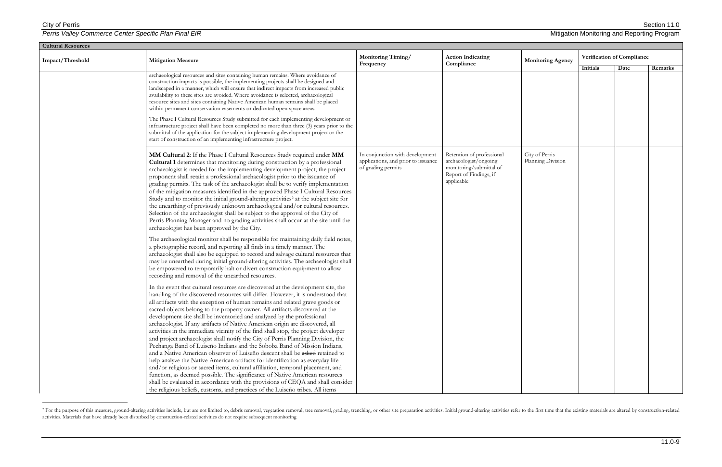$\overline{a}$ 

**Perris Valley Commerce Center Specific Plan Final EIR** Mitigation Monitoring and Reporting Program Mitigation Monitoring and Reporting Program

| <b>Cultural Resources</b> |                                                                                                                                                                                                                                                                                                                                                                                                                                                                                                                                                                                                                                                                                                                                                                                                                                                                                                                                                                                                                                                                                                                                                                                                                                                                |                                                                                              |                                                                                                                       |                                     |                            |      |         |  |  |
|---------------------------|----------------------------------------------------------------------------------------------------------------------------------------------------------------------------------------------------------------------------------------------------------------------------------------------------------------------------------------------------------------------------------------------------------------------------------------------------------------------------------------------------------------------------------------------------------------------------------------------------------------------------------------------------------------------------------------------------------------------------------------------------------------------------------------------------------------------------------------------------------------------------------------------------------------------------------------------------------------------------------------------------------------------------------------------------------------------------------------------------------------------------------------------------------------------------------------------------------------------------------------------------------------|----------------------------------------------------------------------------------------------|-----------------------------------------------------------------------------------------------------------------------|-------------------------------------|----------------------------|------|---------|--|--|
| Impact/Threshold          | <b>Mitigation Measure</b>                                                                                                                                                                                                                                                                                                                                                                                                                                                                                                                                                                                                                                                                                                                                                                                                                                                                                                                                                                                                                                                                                                                                                                                                                                      | <b>Monitoring Timing/</b><br>Frequency                                                       | <b>Action Indicating</b><br>Compliance                                                                                | <b>Monitoring Agency</b>            | Verification of Compliance |      |         |  |  |
|                           | archaeological resources and sites containing human remains. Where avoidance of<br>construction impacts is possible, the implementing projects shall be designed and<br>landscaped in a manner, which will ensure that indirect impacts from increased public<br>availability to these sites are avoided. Where avoidance is selected, archaeological<br>resource sites and sites containing Native American human remains shall be placed<br>within permanent conservation easements or dedicated open space areas.<br>The Phase I Cultural Resources Study submitted for each implementing development or<br>infrastructure project shall have been completed no more than three (3) years prior to the<br>submittal of the application for the subject implementing development project or the<br>start of construction of an implementing infrastructure project.                                                                                                                                                                                                                                                                                                                                                                                          |                                                                                              |                                                                                                                       |                                     | Initials                   | Date | Remarks |  |  |
|                           | MM Cultural 2: If the Phase I Cultural Resources Study required under MM<br><b>Cultural 1</b> determines that monitoring during construction by a professional<br>archaeologist is needed for the implementing development project; the project<br>proponent shall retain a professional archaeologist prior to the issuance of<br>grading permits. The task of the archaeologist shall be to verify implementation<br>of the mitigation measures identified in the approved Phase I Cultural Resources<br>Study and to monitor the initial ground-altering activities <sup>2</sup> at the subject site for<br>the unearthing of previously unknown archaeological and/or cultural resources.<br>Selection of the archaeologist shall be subject to the approval of the City of<br>Perris Planning Manager and no grading activities shall occur at the site until the<br>archaeologist has been approved by the City.                                                                                                                                                                                                                                                                                                                                         | In conjunction with development<br>applications, and prior to issuance<br>of grading permits | Retention of professional<br>archaeologist/ongoing<br>monitoring/submittal of<br>Report of Findings, if<br>applicable | City of Perris<br>Planning Division |                            |      |         |  |  |
|                           | The archaeological monitor shall be responsible for maintaining daily field notes,<br>a photographic record, and reporting all finds in a timely manner. The<br>archaeologist shall also be equipped to record and salvage cultural resources that<br>may be unearthed during initial ground-altering activities. The archaeologist shall<br>be empowered to temporarily halt or divert construction equipment to allow<br>recording and removal of the unearthed resources.                                                                                                                                                                                                                                                                                                                                                                                                                                                                                                                                                                                                                                                                                                                                                                                   |                                                                                              |                                                                                                                       |                                     |                            |      |         |  |  |
|                           | In the event that cultural resources are discovered at the development site, the<br>handling of the discovered resources will differ. However, it is understood that<br>all artifacts with the exception of human remains and related grave goods or<br>sacred objects belong to the property owner. All artifacts discovered at the<br>development site shall be inventoried and analyzed by the professional<br>archaeologist. If any artifacts of Native American origin are discovered, all<br>activities in the immediate vicinity of the find shall stop, the project developer<br>and project archaeologist shall notify the City of Perris Planning Division, the<br>Pechanga Band of Luiseño Indians and the Soboba Band of Mission Indians,<br>and a Native American observer of Luiseño descent shall be asked retained to<br>help analyze the Native American artifacts for identification as everyday life<br>and/or religious or sacred items, cultural affiliation, temporal placement, and<br>function, as deemed possible. The significance of Native American resources<br>shall be evaluated in accordance with the provisions of CEQA and shall consider<br>the religious beliefs, customs, and practices of the Luiseño tribes. All items |                                                                                              |                                                                                                                       |                                     |                            |      |         |  |  |

<sup>&</sup>lt;sup>2</sup> For the purpose of this measure, ground-altering activities include, but are not limited to, debris removal, vegetation removal, tree removal, grading, trenching, or other site preparation activities. Initial ground-al activities. Materials that have already been disturbed by construction-related activities do not require subsequent monitoring.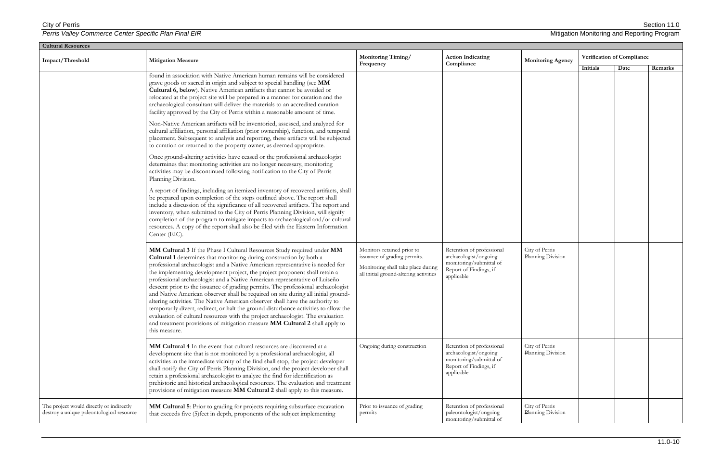| <b>Cultural Resources</b>                                                             |                                                                                                                                                                                                                                                                                                                                                                                                                                                                                                                                                                                                                                                                                                                                                                                                                                                                                                                                                                                                                                                                                                                                                                                                                                                                                                                                                                                                                                                                                                                                                                                                                                       |                                                                                                                                            |                                                                                                                       |                                     |                            |      |         |  |  |  |
|---------------------------------------------------------------------------------------|---------------------------------------------------------------------------------------------------------------------------------------------------------------------------------------------------------------------------------------------------------------------------------------------------------------------------------------------------------------------------------------------------------------------------------------------------------------------------------------------------------------------------------------------------------------------------------------------------------------------------------------------------------------------------------------------------------------------------------------------------------------------------------------------------------------------------------------------------------------------------------------------------------------------------------------------------------------------------------------------------------------------------------------------------------------------------------------------------------------------------------------------------------------------------------------------------------------------------------------------------------------------------------------------------------------------------------------------------------------------------------------------------------------------------------------------------------------------------------------------------------------------------------------------------------------------------------------------------------------------------------------|--------------------------------------------------------------------------------------------------------------------------------------------|-----------------------------------------------------------------------------------------------------------------------|-------------------------------------|----------------------------|------|---------|--|--|--|
| Impact/Threshold                                                                      | <b>Mitigation Measure</b>                                                                                                                                                                                                                                                                                                                                                                                                                                                                                                                                                                                                                                                                                                                                                                                                                                                                                                                                                                                                                                                                                                                                                                                                                                                                                                                                                                                                                                                                                                                                                                                                             | Monitoring Timing/<br>Frequency                                                                                                            | <b>Action Indicating</b><br>Compliance                                                                                | <b>Monitoring Agency</b>            | Verification of Compliance |      |         |  |  |  |
|                                                                                       | found in association with Native American human remains will be considered<br>grave goods or sacred in origin and subject to special handling (see MM<br>Cultural 6, below). Native American artifacts that cannot be avoided or<br>relocated at the project site will be prepared in a manner for curation and the<br>archaeological consultant will deliver the materials to an accredited curation<br>facility approved by the City of Perris within a reasonable amount of time.<br>Non-Native American artifacts will be inventoried, assessed, and analyzed for<br>cultural affiliation, personal affiliation (prior ownership), function, and temporal<br>placement. Subsequent to analysis and reporting, these artifacts will be subjected<br>to curation or returned to the property owner, as deemed appropriate.<br>Once ground-altering activities have ceased or the professional archaeologist<br>determines that monitoring activities are no longer necessary, monitoring<br>activities may be discontinued following notification to the City of Perris<br>Planning Division.<br>A report of findings, including an itemized inventory of recovered artifacts, shall<br>be prepared upon completion of the steps outlined above. The report shall<br>include a discussion of the significance of all recovered artifacts. The report and<br>inventory, when submitted to the City of Perris Planning Division, will signify<br>completion of the program to mitigate impacts to archaeological and/or cultural<br>resources. A copy of the report shall also be filed with the Eastern Information<br>Center (EIC). |                                                                                                                                            |                                                                                                                       |                                     | Initials                   | Date | Remarks |  |  |  |
|                                                                                       | MM Cultural 3 If the Phase I Cultural Resources Study required under MM<br>Cultural 1 determines that monitoring during construction by both a<br>professional archaeologist and a Native American representative is needed for<br>the implementing development project, the project proponent shall retain a<br>professional archaeologist and a Native American representative of Luiseño<br>descent prior to the issuance of grading permits. The professional archaeologist<br>and Native American observer shall be required on site during all initial ground-<br>altering activities. The Native American observer shall have the authority to<br>temporarily divert, redirect, or halt the ground disturbance activities to allow the<br>evaluation of cultural resources with the project archaeologist. The evaluation<br>and treatment provisions of mitigation measure MM Cultural 2 shall apply to<br>this measure.                                                                                                                                                                                                                                                                                                                                                                                                                                                                                                                                                                                                                                                                                                      | Monitors retained prior to<br>issuance of grading permits.<br>Monitoring shall take place during<br>all initial ground-altering activities | Retention of professional<br>archaeologist/ongoing<br>monitoring/submittal of<br>Report of Findings, if<br>applicable | City of Perris<br>Planning Division |                            |      |         |  |  |  |
|                                                                                       | MM Cultural 4 In the event that cultural resources are discovered at a<br>development site that is not monitored by a professional archaeologist, all<br>activities in the immediate vicinity of the find shall stop, the project developer<br>shall notify the City of Perris Planning Division, and the project developer shall<br>retain a professional archaeologist to analyze the find for identification as<br>prehistoric and historical archaeological resources. The evaluation and treatment<br>provisions of mitigation measure MM Cultural 2 shall apply to this measure.                                                                                                                                                                                                                                                                                                                                                                                                                                                                                                                                                                                                                                                                                                                                                                                                                                                                                                                                                                                                                                                | Ongoing during construction                                                                                                                | Retention of professional<br>archaeologist/ongoing<br>monitoring/submittal of<br>Report of Findings, if<br>applicable | City of Perris<br>Planning Division |                            |      |         |  |  |  |
| The project would directly or indirectly<br>destroy a unique paleontological resource | MM Cultural 5: Prior to grading for projects requiring subsurface excavation<br>that exceeds five (5)feet in depth, proponents of the subject implementing                                                                                                                                                                                                                                                                                                                                                                                                                                                                                                                                                                                                                                                                                                                                                                                                                                                                                                                                                                                                                                                                                                                                                                                                                                                                                                                                                                                                                                                                            | Prior to issuance of grading<br>permits                                                                                                    | Retention of professional<br>paleontologist/ongoing<br>monitoring/submittal of                                        | City of Perris<br>Planning Division |                            |      |         |  |  |  |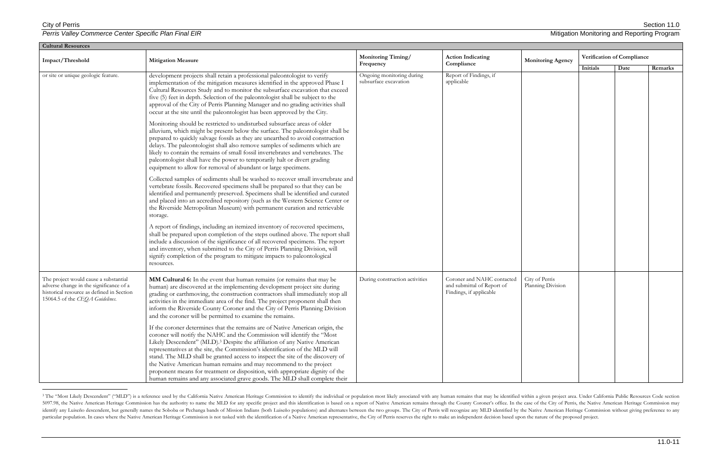$\overline{a}$ 

**Perris Valley Commerce Center Specific Plan Final EIR** Mitigation Monitoring and Reporting Program

| <b>Cultural Resources</b>                                                                                                                                        |                                                                                                                                                                                                                                                                                                                                                                                                                                                                                                                                                                                                                                                                                                                                                                                                                                                                                                                                                                                                                                                                                                                                                                                                                                                                                                                                                                                                                                                                                                                                                                                                                                                                                                                                                                                                                                                                                                                                        |                                                    |                                                                                     |                                     |                            |      |         |
|------------------------------------------------------------------------------------------------------------------------------------------------------------------|----------------------------------------------------------------------------------------------------------------------------------------------------------------------------------------------------------------------------------------------------------------------------------------------------------------------------------------------------------------------------------------------------------------------------------------------------------------------------------------------------------------------------------------------------------------------------------------------------------------------------------------------------------------------------------------------------------------------------------------------------------------------------------------------------------------------------------------------------------------------------------------------------------------------------------------------------------------------------------------------------------------------------------------------------------------------------------------------------------------------------------------------------------------------------------------------------------------------------------------------------------------------------------------------------------------------------------------------------------------------------------------------------------------------------------------------------------------------------------------------------------------------------------------------------------------------------------------------------------------------------------------------------------------------------------------------------------------------------------------------------------------------------------------------------------------------------------------------------------------------------------------------------------------------------------------|----------------------------------------------------|-------------------------------------------------------------------------------------|-------------------------------------|----------------------------|------|---------|
| Impact/Threshold                                                                                                                                                 | <b>Mitigation Measure</b>                                                                                                                                                                                                                                                                                                                                                                                                                                                                                                                                                                                                                                                                                                                                                                                                                                                                                                                                                                                                                                                                                                                                                                                                                                                                                                                                                                                                                                                                                                                                                                                                                                                                                                                                                                                                                                                                                                              | Monitoring Timing/<br>Frequency                    | <b>Action Indicating</b><br>Compliance                                              | <b>Monitoring Agency</b>            | Verification of Compliance |      |         |
| or site or unique geologic feature.                                                                                                                              | development projects shall retain a professional paleontologist to verify<br>implementation of the mitigation measures identified in the approved Phase I<br>Cultural Resources Study and to monitor the subsurface excavation that exceed<br>five (5) feet in depth. Selection of the paleontologist shall be subject to the<br>approval of the City of Perris Planning Manager and no grading activities shall<br>occur at the site until the paleontologist has been approved by the City.<br>Monitoring should be restricted to undisturbed subsurface areas of older<br>alluvium, which might be present below the surface. The paleontologist shall be<br>prepared to quickly salvage fossils as they are unearthed to avoid construction<br>delays. The paleontologist shall also remove samples of sediments which are<br>likely to contain the remains of small fossil invertebrates and vertebrates. The<br>paleontologist shall have the power to temporarily halt or divert grading<br>equipment to allow for removal of abundant or large specimens.<br>Collected samples of sediments shall be washed to recover small invertebrate and<br>vertebrate fossils. Recovered specimens shall be prepared so that they can be<br>identified and permanently preserved. Specimens shall be identified and curated<br>and placed into an accredited repository (such as the Western Science Center or<br>the Riverside Metropolitan Museum) with permanent curation and retrievable<br>storage.<br>A report of findings, including an itemized inventory of recovered specimens,<br>shall be prepared upon completion of the steps outlined above. The report shall<br>include a discussion of the significance of all recovered specimens. The report<br>and inventory, when submitted to the City of Perris Planning Division, will<br>signify completion of the program to mitigate impacts to paleontological<br>resources. | Ongoing monitoring during<br>subsurface excavation | Report of Findings, if<br>applicable                                                |                                     | Initials                   | Date | Remarks |
| The project would cause a substantial<br>adverse change in the significance of a<br>historical resource as defined in Section<br>15064.5 of the CEQA Guidelines. | MM Cultural 6: In the event that human remains (or remains that may be<br>human) are discovered at the implementing development project site during<br>grading or earthmoving, the construction contractors shall immediately stop all<br>activities in the immediate area of the find. The project proponent shall then<br>inform the Riverside County Coroner and the City of Perris Planning Division<br>and the coroner will be permitted to examine the remains.<br>If the coroner determines that the remains are of Native American origin, the<br>coroner will notify the NAHC and the Commission will identify the "Most<br>Likely Descendent" (MLD). <sup>3</sup> Despite the affiliation of any Native American<br>representatives at the site, the Commission's identification of the MLD will<br>stand. The MLD shall be granted access to inspect the site of the discovery of<br>the Native American human remains and may recommend to the project<br>proponent means for treatment or disposition, with appropriate dignity of the<br>human remains and any associated grave goods. The MLD shall complete their                                                                                                                                                                                                                                                                                                                                                                                                                                                                                                                                                                                                                                                                                                                                                                                                      | During construction activities                     | Coroner and NAHC contacted<br>and submittal of Report of<br>Findings, if applicable | City of Perris<br>Planning Division |                            |      |         |

<sup>&</sup>lt;sup>3</sup> The "Most Likely Descendent" ("MLD") is a reference used by the California Native American Heritage Commission to identify the individual or population most likely associated with any human remains that may be identifi 5097.98, the Native American Heritage Commission has the authority to name the MLD for any specific project and this identification is based on a report of Native American remains through the County Coroner's office. In th identify any Luiseño descendent, but generally names the Soboba or Pechanga bands of Mission Indians (both Luiseño populations) and alternates between the two groups. The City of Perris will recognize any MLD identified by particular population. In cases where the Native American Heritage Commission is not tasked with the identification of a Native American representative, the City of Perris reserves the right to make an independent decision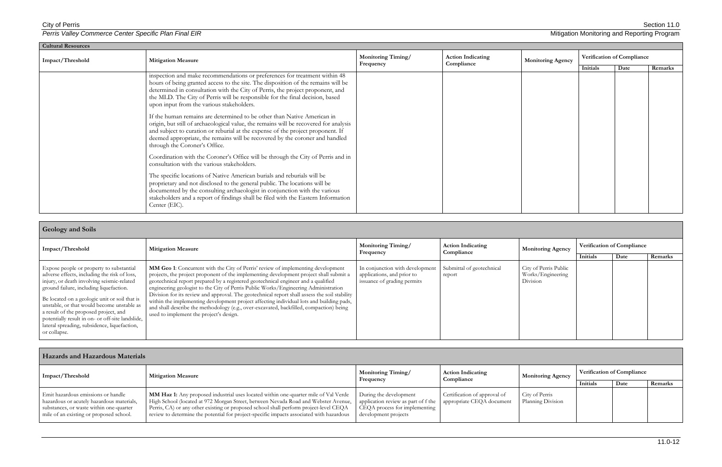| <b>Cultural Resources</b> |                                                                                                                                                                                                                                                                                                                                                                                 |                    |                                        |                          |                            |      |         |  |
|---------------------------|---------------------------------------------------------------------------------------------------------------------------------------------------------------------------------------------------------------------------------------------------------------------------------------------------------------------------------------------------------------------------------|--------------------|----------------------------------------|--------------------------|----------------------------|------|---------|--|
| Impact/Threshold          | <b>Mitigation Measure</b>                                                                                                                                                                                                                                                                                                                                                       | Monitoring Timing/ | <b>Action Indicating</b><br>Compliance | <b>Monitoring Agency</b> | Verification of Compliance |      |         |  |
|                           |                                                                                                                                                                                                                                                                                                                                                                                 | Frequency          |                                        |                          | Initials                   | Date | Remarks |  |
|                           | inspection and make recommendations or preferences for treatment within 48<br>hours of being granted access to the site. The disposition of the remains will be<br>determined in consultation with the City of Perris, the project proponent, and<br>the MLD. The City of Perris will be responsible for the final decision, based<br>upon input from the various stakeholders. |                    |                                        |                          |                            |      |         |  |
|                           | If the human remains are determined to be other than Native American in<br>origin, but still of archaeological value, the remains will be recovered for analysis<br>and subject to curation or reburial at the expense of the project proponent. If<br>deemed appropriate, the remains will be recovered by the coroner and handled<br>through the Coroner's Office.            |                    |                                        |                          |                            |      |         |  |
|                           | Coordination with the Coroner's Office will be through the City of Perris and in<br>consultation with the various stakeholders.                                                                                                                                                                                                                                                 |                    |                                        |                          |                            |      |         |  |
|                           | The specific locations of Native American burials and reburials will be<br>proprietary and not disclosed to the general public. The locations will be<br>documented by the consulting archaeologist in conjunction with the various<br>stakeholders and a report of findings shall be filed with the Eastern Information<br>Center (EIC).                                       |                    |                                        |                          |                            |      |         |  |

| <b>Geology and Soils</b>                                                                                                                                                                                                                                                                                                                                                                                                                      |                                                                                                                                                                                                                                                                                                                                                                                                                                                                                                                                                                                                                                                                                            |                                                                                              |                                        |                                                        |          |                                    |         |
|-----------------------------------------------------------------------------------------------------------------------------------------------------------------------------------------------------------------------------------------------------------------------------------------------------------------------------------------------------------------------------------------------------------------------------------------------|--------------------------------------------------------------------------------------------------------------------------------------------------------------------------------------------------------------------------------------------------------------------------------------------------------------------------------------------------------------------------------------------------------------------------------------------------------------------------------------------------------------------------------------------------------------------------------------------------------------------------------------------------------------------------------------------|----------------------------------------------------------------------------------------------|----------------------------------------|--------------------------------------------------------|----------|------------------------------------|---------|
| Impact/Threshold                                                                                                                                                                                                                                                                                                                                                                                                                              | <b>Mitigation Measure</b>                                                                                                                                                                                                                                                                                                                                                                                                                                                                                                                                                                                                                                                                  | <b>Monitoring Timing/</b><br>Frequency                                                       | <b>Action Indicating</b><br>Compliance | <b>Monitoring Agency</b>                               | Initials | Verification of Compliance<br>Date | Remarks |
| Expose people or property to substantial<br>adverse effects, including the risk of loss,<br>injury, or death involving seismic-related<br>ground failure, including liquefaction.<br>Be located on a geologic unit or soil that is<br>unstable, or that would become unstable as<br>a result of the proposed project, and<br>potentially result in on- or off-site landslide,<br>lateral spreading, subsidence, liquefaction,<br>or collapse. | MM Geo 1: Concurrent with the City of Perris' review of implementing development<br>projects, the project proponent of the implementing development project shall submit a<br>geotechnical report prepared by a registered geotechnical engineer and a qualified<br>engineering geologist to the City of Perris Public Works/Engineering Administration<br>Division for its review and approval. The geotechnical report shall assess the soil stability<br>within the implementing development project affecting individual lots and building pads,<br>and shall describe the methodology (e.g., over-excavated, backfilled, compaction) being<br>used to implement the project's design. | In conjunction with development<br>applications, and prior to<br>issuance of grading permits | Submittal of geotechnical<br>report    | City of Perris Public<br>Works/Engineering<br>Division |          |                                    |         |

| <b>Hazards and Hazardous Materials</b>                                                                                                                                |                                                                                                                                                                                                                                                                                                                                                                |                                                                                                                        |                                                           |                                     |                                   |      |         |
|-----------------------------------------------------------------------------------------------------------------------------------------------------------------------|----------------------------------------------------------------------------------------------------------------------------------------------------------------------------------------------------------------------------------------------------------------------------------------------------------------------------------------------------------------|------------------------------------------------------------------------------------------------------------------------|-----------------------------------------------------------|-------------------------------------|-----------------------------------|------|---------|
| Impact/Threshold                                                                                                                                                      | <b>Mitigation Measure</b>                                                                                                                                                                                                                                                                                                                                      | <b>Monitoring Timing/</b><br>Frequency                                                                                 | <b>Action Indicating</b><br>Compliance                    | <b>Monitoring Agency</b>            | <b>Verification of Compliance</b> |      |         |
|                                                                                                                                                                       |                                                                                                                                                                                                                                                                                                                                                                |                                                                                                                        |                                                           |                                     | Initials                          | Date | Remarks |
| Emit hazardous emissions or handle<br>hazardous or acutely hazardous materials,<br>substances, or waste within one-quarter<br>mile of an existing or proposed school. | MM Haz 1: Any proposed industrial uses located within one-quarter mile of Val Verde<br>High School (located at 972 Morgan Street, between Nevada Road and Webster Avenue,<br>Perris, CA) or any other existing or proposed school shall perform project-level CEQA<br>review to determine the potential for project-specific impacts associated with hazardous | During the development<br>application review as part of f the<br>CEQA process for implementing<br>development projects | Certification of approval of<br>appropriate CEQA document | City of Perris<br>Planning Division |                                   |      |         |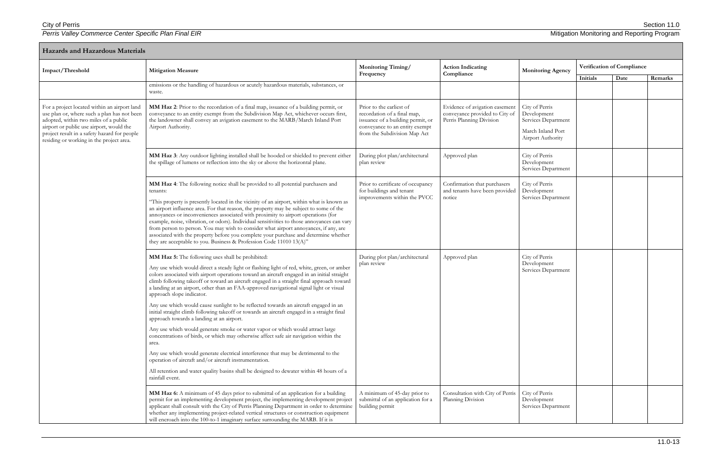| <b>Hazards and Hazardous Materials</b>                                                                                                                                                                                                                                       |                                                                                                                                                                                                                                                                                                                                                                                                                                                                                                                                                                                                                                                                                                                                                                                                                                                                                                                                                                                                                                                                                                                                                             |                                                                                                                                                                |                                                                                              |                                                                                                |          |                            |         |
|------------------------------------------------------------------------------------------------------------------------------------------------------------------------------------------------------------------------------------------------------------------------------|-------------------------------------------------------------------------------------------------------------------------------------------------------------------------------------------------------------------------------------------------------------------------------------------------------------------------------------------------------------------------------------------------------------------------------------------------------------------------------------------------------------------------------------------------------------------------------------------------------------------------------------------------------------------------------------------------------------------------------------------------------------------------------------------------------------------------------------------------------------------------------------------------------------------------------------------------------------------------------------------------------------------------------------------------------------------------------------------------------------------------------------------------------------|----------------------------------------------------------------------------------------------------------------------------------------------------------------|----------------------------------------------------------------------------------------------|------------------------------------------------------------------------------------------------|----------|----------------------------|---------|
| Impact/Threshold                                                                                                                                                                                                                                                             | <b>Mitigation Measure</b>                                                                                                                                                                                                                                                                                                                                                                                                                                                                                                                                                                                                                                                                                                                                                                                                                                                                                                                                                                                                                                                                                                                                   | <b>Monitoring Timing/</b><br>Frequency                                                                                                                         | <b>Action Indicating</b><br>Compliance                                                       | <b>Monitoring Agency</b>                                                                       |          | Verification of Compliance |         |
|                                                                                                                                                                                                                                                                              | emissions or the handling of hazardous or acutely hazardous materials, substances, or<br>waste.                                                                                                                                                                                                                                                                                                                                                                                                                                                                                                                                                                                                                                                                                                                                                                                                                                                                                                                                                                                                                                                             |                                                                                                                                                                |                                                                                              |                                                                                                | Initials | Date                       | Remarks |
| For a project located within an airport land<br>use plan or, where such a plan has not been<br>adopted, within two miles of a public<br>airport or public use airport, would the<br>project result in a safety hazard for people<br>residing or working in the project area. | MM Haz 2: Prior to the recordation of a final map, issuance of a building permit, or<br>conveyance to an entity exempt from the Subdivision Map Act, whichever occurs first,<br>the landowner shall convey an avigation easement to the MARB/March Inland Port<br>Airport Authority.                                                                                                                                                                                                                                                                                                                                                                                                                                                                                                                                                                                                                                                                                                                                                                                                                                                                        | Prior to the earliest of<br>recordation of a final map,<br>issuance of a building permit, or<br>conveyance to an entity exempt<br>from the Subdivision Map Act | Evidence of avigation easement<br>conveyance provided to City of<br>Perris Planning Division | City of Perris<br>Development<br>Services Department<br>March Inland Port<br>Airport Authority |          |                            |         |
|                                                                                                                                                                                                                                                                              | MM Haz 3: Any outdoor lighting installed shall be hooded or shielded to prevent either<br>the spillage of lumens or reflection into the sky or above the horizontal plane.                                                                                                                                                                                                                                                                                                                                                                                                                                                                                                                                                                                                                                                                                                                                                                                                                                                                                                                                                                                  | During plot plan/architectural<br>plan review                                                                                                                  | Approved plan                                                                                | City of Perris<br>Development<br>Services Department                                           |          |                            |         |
|                                                                                                                                                                                                                                                                              | MM Haz 4: The following notice shall be provided to all potential purchasers and<br>tenants:<br>"This property is presently located in the vicinity of an airport, within what is known as<br>an airport influence area. For that reason, the property may be subject to some of the<br>annoyances or inconveniences associated with proximity to airport operations (for<br>example, noise, vibration, or odors). Individual sensitivities to those annoyances can vary<br>from person to person. You may wish to consider what airport annoyances, if any, are<br>associated with the property before you complete your purchase and determine whether<br>they are acceptable to you. Business & Profession Code 11010 13(A)"                                                                                                                                                                                                                                                                                                                                                                                                                             | Prior to certificate of occupancy<br>for buildings and tenant<br>improvements within the PVCC                                                                  | Confirmation that purchasers<br>and tenants have been provided<br>notice                     | City of Perris<br>Development<br>Services Department                                           |          |                            |         |
|                                                                                                                                                                                                                                                                              | MM Haz 5: The following uses shall be prohibited:<br>Any use which would direct a steady light or flashing light of red, white, green, or amber<br>colors associated with airport operations toward an aircraft engaged in an initial straight<br>climb following takeoff or toward an aircraft engaged in a straight final approach toward<br>a landing at an airport, other than an FAA-approved navigational signal light or visual<br>approach slope indicator.<br>Any use which would cause sunlight to be reflected towards an aircraft engaged in an<br>initial straight climb following takeoff or towards an aircraft engaged in a straight final<br>approach towards a landing at an airport.<br>Any use which would generate smoke or water vapor or which would attract large<br>concentrations of birds, or which may otherwise affect safe air navigation within the<br>area.<br>Any use which would generate electrical interference that may be detrimental to the<br>operation of aircraft and/or aircraft instrumentation.<br>All retention and water quality basins shall be designed to dewater within 48 hours of a<br>rainfall event. | During plot plan/architectural<br>plan review                                                                                                                  | Approved plan                                                                                | City of Perris<br>Development<br>Services Department                                           |          |                            |         |
|                                                                                                                                                                                                                                                                              | MM Haz 6: A minimum of 45 days prior to submittal of an application for a building<br>permit for an implementing development project, the implementing development project<br>applicant shall consult with the City of Perris Planning Department in order to determine<br>whether any implementing project-related vertical structures or construction equipment<br>will encroach into the 100-to-1 imaginary surface surrounding the MARB. If it is                                                                                                                                                                                                                                                                                                                                                                                                                                                                                                                                                                                                                                                                                                       | A minimum of 45-day prior to<br>submittal of an application for a<br>building permit                                                                           | Consultation with City of Perris<br>Planning Division                                        | City of Perris<br>Development<br>Services Department                                           |          |                            |         |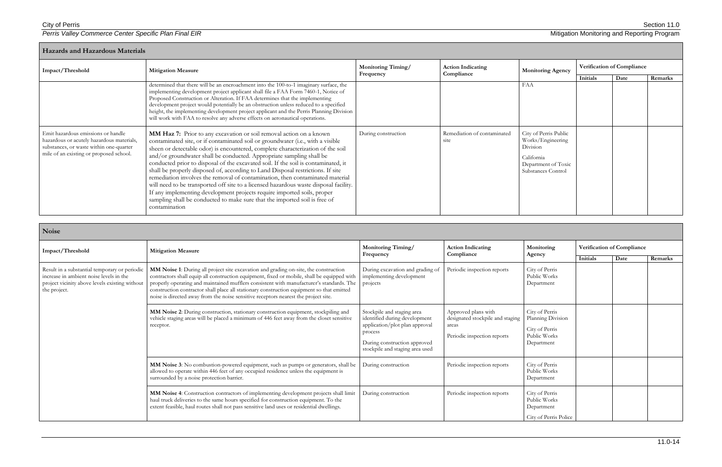City of Perris Section 11.0

| <b>Hazards and Hazardous Materials</b>                                                                                                                                |                                                                                                                                                                                                                                                                                                                                                                                                                                                                                                                                                                                                                                                                                                                                                                                                                                                |                                        |                                        |                                                                                                                   |                            |      |         |  |
|-----------------------------------------------------------------------------------------------------------------------------------------------------------------------|------------------------------------------------------------------------------------------------------------------------------------------------------------------------------------------------------------------------------------------------------------------------------------------------------------------------------------------------------------------------------------------------------------------------------------------------------------------------------------------------------------------------------------------------------------------------------------------------------------------------------------------------------------------------------------------------------------------------------------------------------------------------------------------------------------------------------------------------|----------------------------------------|----------------------------------------|-------------------------------------------------------------------------------------------------------------------|----------------------------|------|---------|--|
| Impact/Threshold                                                                                                                                                      | <b>Mitigation Measure</b>                                                                                                                                                                                                                                                                                                                                                                                                                                                                                                                                                                                                                                                                                                                                                                                                                      | <b>Monitoring Timing/</b><br>Frequency | <b>Action Indicating</b><br>Compliance | <b>Monitoring Agency</b>                                                                                          | Verification of Compliance |      |         |  |
|                                                                                                                                                                       | determined that there will be an encroachment into the 100-to-1 imaginary surface, the<br>implementing development project applicant shall file a FAA Form 7460-1, Notice of<br>Proposed Construction or Alteration. If FAA determines that the implementing<br>development project would potentially be an obstruction unless reduced to a specified<br>height, the implementing development project applicant and the Perris Planning Division<br>will work with FAA to resolve any adverse effects on aeronautical operations.                                                                                                                                                                                                                                                                                                              |                                        |                                        | FAA                                                                                                               | Initials                   | Date | Remarks |  |
| Emit hazardous emissions or handle<br>hazardous or acutely hazardous materials,<br>substances, or waste within one-quarter<br>mile of an existing or proposed school. | MM Haz 7: Prior to any excavation or soil removal action on a known<br>contaminated site, or if contaminated soil or groundwater (i.e., with a visible<br>sheen or detectable odor) is encountered, complete characterization of the soil<br>and/or groundwater shall be conducted. Appropriate sampling shall be<br>conducted prior to disposal of the excavated soil. If the soil is contaminated, it<br>shall be properly disposed of, according to Land Disposal restrictions. If site<br>remediation involves the removal of contamination, then contaminated material<br>will need to be transported off site to a licensed hazardous waste disposal facility.<br>If any implementing development projects require imported soils, proper<br>sampling shall be conducted to make sure that the imported soil is free of<br>contamination | During construction                    | Remediation of contaminated<br>site    | City of Perris Public<br>Works/Engineering<br>Division<br>California<br>Department of Toxic<br>Substances Control |                            |      |         |  |

| Noise                                                                                                                                                      |                                                                                                                                                                                                                                                                                                                                                                                                                                                                     |                                                                                                                                                                             |                                                                                                 |                                                                                     |                            |      |         |
|------------------------------------------------------------------------------------------------------------------------------------------------------------|---------------------------------------------------------------------------------------------------------------------------------------------------------------------------------------------------------------------------------------------------------------------------------------------------------------------------------------------------------------------------------------------------------------------------------------------------------------------|-----------------------------------------------------------------------------------------------------------------------------------------------------------------------------|-------------------------------------------------------------------------------------------------|-------------------------------------------------------------------------------------|----------------------------|------|---------|
| Impact/Threshold                                                                                                                                           | <b>Mitigation Measure</b>                                                                                                                                                                                                                                                                                                                                                                                                                                           | Monitoring Timing/<br>Frequency                                                                                                                                             | <b>Action Indicating</b><br>Compliance                                                          | Monitoring<br>Agency                                                                | Verification of Compliance |      |         |
| Result in a substantial temporary or periodic<br>increase in ambient noise levels in the<br>project vicinity above levels existing without<br>the project. | MM Noise 1: During all project site excavation and grading on-site, the construction<br>contractors shall equip all construction equipment, fixed or mobile, shall be equipped with<br>properly operating and maintained mufflers consistent with manufacturer's standards. The<br>construction contractor shall place all stationary construction equipment so that emitted<br>noise is directed away from the noise sensitive receptors nearest the project site. | During excavation and grading of<br>implementing development<br>projects                                                                                                    | Periodic inspection reports                                                                     | City of Perris<br>Public Works<br>Department                                        | <b>Initials</b>            | Date | Remarks |
|                                                                                                                                                            | MM Noise 2: During construction, stationary construction equipment, stockpiling and<br>vehicle staging areas will be placed a minimum of 446 feet away from the closet sensitive<br>receptor.                                                                                                                                                                                                                                                                       | Stockpile and staging area<br>identified during development<br>application/plot plan approval<br>process<br>During construction approved<br>stockpile and staging area used | Approved plans with<br>designated stockpile and staging<br>areas<br>Periodic inspection reports | City of Perris<br>Planning Division<br>City of Perris<br>Public Works<br>Department |                            |      |         |
|                                                                                                                                                            | MM Noise 3: No combustion-powered equipment, such as pumps or generators, shall be<br>allowed to operate within 446 feet of any occupied residence unless the equipment is<br>surrounded by a noise protection barrier.                                                                                                                                                                                                                                             | During construction                                                                                                                                                         | Periodic inspection reports                                                                     | City of Perris<br>Public Works<br>Department                                        |                            |      |         |
|                                                                                                                                                            | MM Noise 4: Construction contractors of implementing development projects shall limit<br>haul truck deliveries to the same hours specified for construction equipment. To the<br>extent feasible, haul routes shall not pass sensitive land uses or residential dwellings.                                                                                                                                                                                          | During construction                                                                                                                                                         | Periodic inspection reports                                                                     | City of Perris<br>Public Works<br>Department<br>City of Perris Police               |                            |      |         |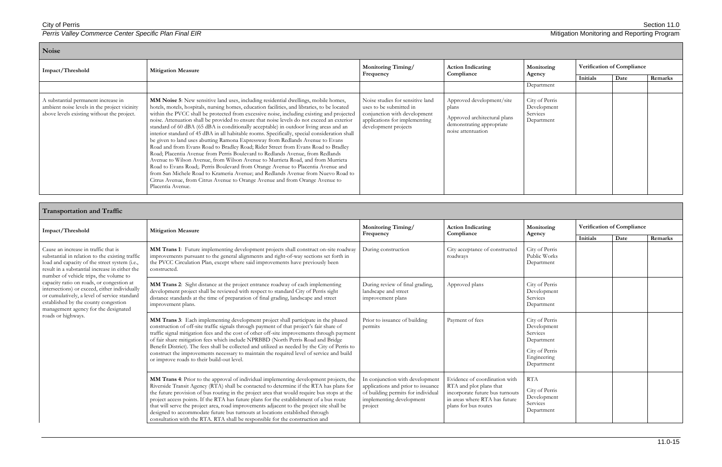| Noise                                                                                                                             |                                                                                                                                                                                                                                                                                                                                                                                                                                                                                                                                                                                                                                                                                                                                                                                                                                                                                                                                                                                                                                                                                                                                                                                                    |                                                                                                                                                      |                                                                                                                       |                                                         |                            |      |         |
|-----------------------------------------------------------------------------------------------------------------------------------|----------------------------------------------------------------------------------------------------------------------------------------------------------------------------------------------------------------------------------------------------------------------------------------------------------------------------------------------------------------------------------------------------------------------------------------------------------------------------------------------------------------------------------------------------------------------------------------------------------------------------------------------------------------------------------------------------------------------------------------------------------------------------------------------------------------------------------------------------------------------------------------------------------------------------------------------------------------------------------------------------------------------------------------------------------------------------------------------------------------------------------------------------------------------------------------------------|------------------------------------------------------------------------------------------------------------------------------------------------------|-----------------------------------------------------------------------------------------------------------------------|---------------------------------------------------------|----------------------------|------|---------|
| Impact/Threshold                                                                                                                  | <b>Mitigation Measure</b>                                                                                                                                                                                                                                                                                                                                                                                                                                                                                                                                                                                                                                                                                                                                                                                                                                                                                                                                                                                                                                                                                                                                                                          | Monitoring Timing/<br>Frequency                                                                                                                      | <b>Action Indicating</b><br>Compliance                                                                                | Monitoring                                              | Verification of Compliance |      |         |
|                                                                                                                                   |                                                                                                                                                                                                                                                                                                                                                                                                                                                                                                                                                                                                                                                                                                                                                                                                                                                                                                                                                                                                                                                                                                                                                                                                    |                                                                                                                                                      |                                                                                                                       | Agency                                                  | Initials                   | Date | Remarks |
|                                                                                                                                   |                                                                                                                                                                                                                                                                                                                                                                                                                                                                                                                                                                                                                                                                                                                                                                                                                                                                                                                                                                                                                                                                                                                                                                                                    |                                                                                                                                                      |                                                                                                                       | Department                                              |                            |      |         |
| A substantial permanent increase in<br>ambient noise levels in the project vicinity<br>above levels existing without the project. | MM Noise 5: New sensitive land uses, including residential dwellings, mobile homes,<br>hotels, motels, hospitals, nursing homes, education facilities, and libraries, to be located<br>within the PVCC shall be protected from excessive noise, including existing and projected<br>noise. Attenuation shall be provided to ensure that noise levels do not exceed an exterior<br>standard of 60 dBA (65 dBA is conditionally acceptable) in outdoor living areas and an<br>interior standard of 45 dBA in all habitable rooms. Specifically, special consideration shall<br>be given to land uses abutting Ramona Expressway from Redlands Avenue to Evans<br>Road and from Evans Road to Bradley Road; Rider Street from Evans Road to Bradley<br>Road; Placentia Avenue from Perris Boulevard to Redlands Avenue, from Redlands<br>Avenue to Wilson Avenue, from Wilson Avenue to Murrieta Road, and from Murrieta<br>Road to Evans Road;. Perris Boulevard from Orange Avenue to Placentia Avenue and<br>from San Michele Road to Krameria Avenue; and Redlands Avenue from Nuevo Road to<br>Citrus Avenue, from Citrus Avenue to Orange Avenue and from Orange Avenue to<br>Placentia Avenue. | Noise studies for sensitive land<br>uses to be submitted in<br>conjunction with development<br>applications for implementing<br>development projects | Approved development/site<br>plans<br>Approved architectural plans<br>demonstrating appropriate<br>noise attentuation | City of Perris<br>Development<br>Services<br>Department |                            |      |         |

| <b>Transportation and Traffic</b>                                                                                                                                                                                                                                                                                                                                                                                                                                                        |                                                                                                                                                                                                                                                                                                                                                                                                                                                                                                                                                                                                                                          |                                                                                                                                                    |                                                                                                                                                      |                                                                                                        |                            |      |         |
|------------------------------------------------------------------------------------------------------------------------------------------------------------------------------------------------------------------------------------------------------------------------------------------------------------------------------------------------------------------------------------------------------------------------------------------------------------------------------------------|------------------------------------------------------------------------------------------------------------------------------------------------------------------------------------------------------------------------------------------------------------------------------------------------------------------------------------------------------------------------------------------------------------------------------------------------------------------------------------------------------------------------------------------------------------------------------------------------------------------------------------------|----------------------------------------------------------------------------------------------------------------------------------------------------|------------------------------------------------------------------------------------------------------------------------------------------------------|--------------------------------------------------------------------------------------------------------|----------------------------|------|---------|
| Impact/Threshold                                                                                                                                                                                                                                                                                                                                                                                                                                                                         | <b>Mitigation Measure</b>                                                                                                                                                                                                                                                                                                                                                                                                                                                                                                                                                                                                                | Monitoring Timing/                                                                                                                                 | <b>Action Indicating</b><br>Compliance                                                                                                               | Monitoring                                                                                             | Verification of Compliance |      |         |
|                                                                                                                                                                                                                                                                                                                                                                                                                                                                                          |                                                                                                                                                                                                                                                                                                                                                                                                                                                                                                                                                                                                                                          | Frequency                                                                                                                                          |                                                                                                                                                      | Agency                                                                                                 | Initials                   | Date | Remarks |
| Cause an increase in traffic that is<br>substantial in relation to the existing traffic<br>load and capacity of the street system (i.e.,<br>result in a substantial increase in either the<br>number of vehicle trips, the volume to<br>capacity ratio on roads, or congestion at<br>intersections) or exceed, either individually<br>or cumulatively, a level of service standard<br>established by the county congestion<br>management agency for the designated<br>roads or highways. | MM Trans 1: Future implementing development projects shall construct on-site roadway<br>improvements pursuant to the general alignments and right-of-way sections set forth in<br>the PVCC Circulation Plan, except where said improvements have previously been<br>constructed.                                                                                                                                                                                                                                                                                                                                                         | During construction                                                                                                                                | City acceptance of constructed<br>roadways                                                                                                           | City of Perris<br>Public Works<br>Department                                                           |                            |      |         |
|                                                                                                                                                                                                                                                                                                                                                                                                                                                                                          | MM Trans 2: Sight distance at the project entrance roadway of each implementing<br>development project shall be reviewed with respect to standard City of Perris sight<br>distance standards at the time of preparation of final grading, landscape and street<br>improvement plans.                                                                                                                                                                                                                                                                                                                                                     | During review of final grading,<br>landscape and street<br>improvement plans                                                                       | Approved plans                                                                                                                                       | City of Perris<br>Development<br>Services<br>Department                                                |                            |      |         |
|                                                                                                                                                                                                                                                                                                                                                                                                                                                                                          | MM Trans 3: Each implementing development project shall participate in the phased<br>construction of off-site traffic signals through payment of that project's fair share of<br>traffic signal mitigation fees and the cost of other off-site improvements through payment<br>of fair share mitigation fees which include NPRBBD (North Perris Road and Bridge<br>Benefit District). The fees shall be collected and utilized as needed by the City of Perris to<br>construct the improvements necessary to maintain the required level of service and build<br>or improve roads to their build-out level.                              | Prior to issuance of building<br>permits                                                                                                           | Payment of fees                                                                                                                                      | City of Perris<br>Development<br>Services<br>Department<br>City of Perris<br>Engineering<br>Department |                            |      |         |
|                                                                                                                                                                                                                                                                                                                                                                                                                                                                                          | MM Trans 4: Prior to the approval of individual implementing development projects, the<br>Riverside Transit Agency (RTA) shall be contacted to determine if the RTA has plans for<br>the future provision of bus routing in the project area that would require bus stops at the<br>project access points. If the RTA has future plans for the establishment of a bus route<br>that will serve the project area, road improvements adjacent to the project site shall be<br>designed to accommodate future bus turnouts at locations established through<br>consultation with the RTA. RTA shall be responsible for the construction and | In conjunction with development<br>applications and prior to issuance<br>of building permits for individual<br>implementing development<br>project | Evidence of coordination with<br>RTA and plot plans that<br>incorporate future bus turnouts<br>in areas where RTA has future<br>plans for bus routes | <b>RTA</b><br>City of Perris<br>Development<br>Services<br>Department                                  |                            |      |         |